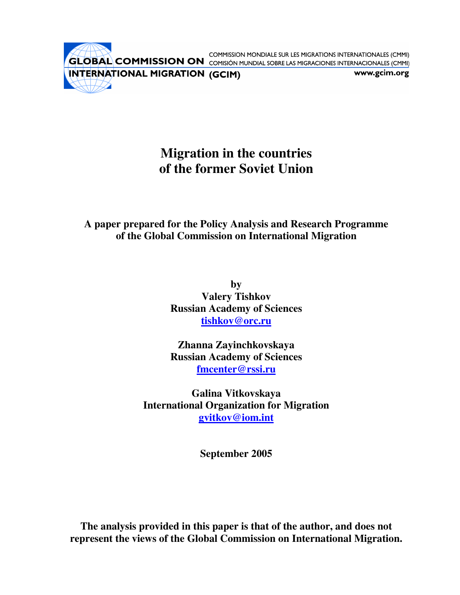COMMISSION MONDIALE SUR LES MIGRATIONS INTERNATIONALES (CMMI) **GLOBAL COMMISSION ON** COMISIÓN MUNDIAL SOBRE LAS MIGRACIONS INTERNACIONALES (CMMI)

INTERNATIONAL MIGRATION (GCIM)

www.gcim.org

# **Migration in the countries of the former Soviet Union**

# **A paper prepared for the Policy Analysis and Research Programme of the Global Commission on International Migration**

**by Valery Tishkov Russian Academy of Sciences tishkov@orc.ru**

**Zhanna Zayinchkovskaya Russian Academy of Sciences fmcenter@rssi.ru**

**Galina Vitkovskaya International Organization for Migration gvitkov@iom.int**

**September 2005**

**The analysis provided in this paper is that of the author, and does not represent the views of the Global Commission on International Migration.**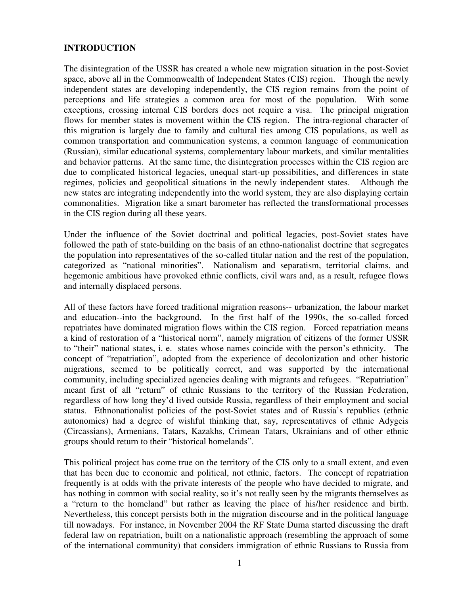## **INTRODUCTION**

The disintegration of the USSR has created a whole new migration situation in the post-Soviet space, above all in the Commonwealth of Independent States (CIS) region. Though the newly independent states are developing independently, the CIS region remains from the point of perceptions and life strategies a common area for most of the population. With some exceptions, crossing internal CIS borders does not require a visa. The principal migration flows for member states is movement within the CIS region. The intra-regional character of this migration is largely due to family and cultural ties among CIS populations, as well as common transportation and communication systems, a common language of communication (Russian), similar educational systems, complementary labour markets, and similar mentalities and behavior patterns. At the same time, the disintegration processes within the CIS region are due to complicated historical legacies, unequal start-up possibilities, and differences in state regimes, policies and geopolitical situations in the newly independent states. Although the new states are integrating independently into the world system, they are also displaying certain commonalities. Migration like a smart barometer has reflected the transformational processes in the CIS region during all these years.

Under the influence of the Soviet doctrinal and political legacies, post-Soviet states have followed the path of state-building on the basis of an ethno-nationalist doctrine that segregates the population into representatives of the so-called titular nation and the rest of the population, categorized as "national minorities". Nationalism and separatism, territorial claims, and hegemonic ambitious have provoked ethnic conflicts, civil wars and, as a result, refugee flows and internally displaced persons.

All of these factors have forced traditional migration reasons-- urbanization, the labour market and education--into the background. In the first half of the 1990s, the so-called forced repatriates have dominated migration flows within the CIS region. Forced repatriation means a kind of restoration of a "historical norm", namely migration of citizens of the former USSR to "their" national states, i. e. states whose names coincide with the person's ethnicity. The concept of "repatriation", adopted from the experience of decolonization and other historic migrations, seemed to be politically correct, and was supported by the international community, including specialized agencies dealing with migrants and refugees. "Repatriation" meant first of all "return" of ethnic Russians to the territory of the Russian Federation, regardless of how long they'd lived outside Russia, regardless of their employment and social status. Ethnonationalist policies of the post-Soviet states and of Russia's republics (ethnic autonomies) had a degree of wishful thinking that, say, representatives of ethnic Adygeis (Circassians), Armenians, Tatars, Kazakhs, Crimean Tatars, Ukrainians and of other ethnic groups should return to their "historical homelands".

This political project has come true on the territory of the CIS only to a small extent, and even that has been due to economic and political, not ethnic, factors. The concept of repatriation frequently is at odds with the private interests of the people who have decided to migrate, and has nothing in common with social reality, so it's not really seen by the migrants themselves as a "return to the homeland" but rather as leaving the place of his/her residence and birth. Nevertheless, this concept persists both in the migration discourse and in the political language till nowadays. For instance, in November 2004 the RF State Duma started discussing the draft federal law on repatriation, built on a nationalistic approach (resembling the approach of some of the international community) that considers immigration of ethnic Russians to Russia from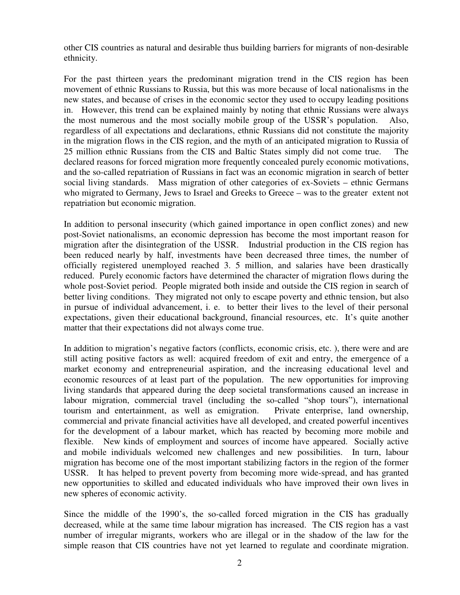other CIS countries as natural and desirable thus building barriers for migrants of non-desirable ethnicity.

For the past thirteen years the predominant migration trend in the CIS region has been movement of ethnic Russians to Russia, but this was more because of local nationalisms in the new states, and because of crises in the economic sector they used to occupy leading positions in. However, this trend can be explained mainly by noting that ethnic Russians were always the most numerous and the most socially mobile group of the USSR's population. Also, regardless of all expectations and declarations, ethnic Russians did not constitute the majority in the migration flows in the CIS region, and the myth of an anticipated migration to Russia of 25 million ethnic Russians from the CIS and Baltic States simply did not come true. The declared reasons for forced migration more frequently concealed purely economic motivations, and the so-called repatriation of Russians in fact was an economic migration in search of better social living standards. Mass migration of other categories of ex-Soviets – ethnic Germans who migrated to Germany, Jews to Israel and Greeks to Greece – was to the greater extent not repatriation but economic migration.

In addition to personal insecurity (which gained importance in open conflict zones) and new post-Soviet nationalisms, an economic depression has become the most important reason for migration after the disintegration of the USSR. Industrial production in the CIS region has been reduced nearly by half, investments have been decreased three times, the number of officially registered unemployed reached 3. 5 million, and salaries have been drastically reduced. Purely economic factors have determined the character of migration flows during the whole post-Soviet period. People migrated both inside and outside the CIS region in search of better living conditions. They migrated not only to escape poverty and ethnic tension, but also in pursue of individual advancement, i. e. to better their lives to the level of their personal expectations, given their educational background, financial resources, etc. It's quite another matter that their expectations did not always come true.

In addition to migration's negative factors (conflicts, economic crisis, etc. ), there were and are still acting positive factors as well: acquired freedom of exit and entry, the emergence of a market economy and entrepreneurial aspiration, and the increasing educational level and economic resources of at least part of the population. The new opportunities for improving living standards that appeared during the deep societal transformations caused an increase in labour migration, commercial travel (including the so-called "shop tours"), international tourism and entertainment, as well as emigration. Private enterprise, land ownership, commercial and private financial activities have all developed, and created powerful incentives for the development of a labour market, which has reacted by becoming more mobile and flexible. New kinds of employment and sources of income have appeared. Socially active and mobile individuals welcomed new challenges and new possibilities. In turn, labour migration has become one of the most important stabilizing factors in the region of the former USSR. It has helped to prevent poverty from becoming more wide-spread, and has granted new opportunities to skilled and educated individuals who have improved their own lives in new spheres of economic activity.

Since the middle of the 1990's, the so-called forced migration in the CIS has gradually decreased, while at the same time labour migration has increased. The CIS region has a vast number of irregular migrants, workers who are illegal or in the shadow of the law for the simple reason that CIS countries have not yet learned to regulate and coordinate migration.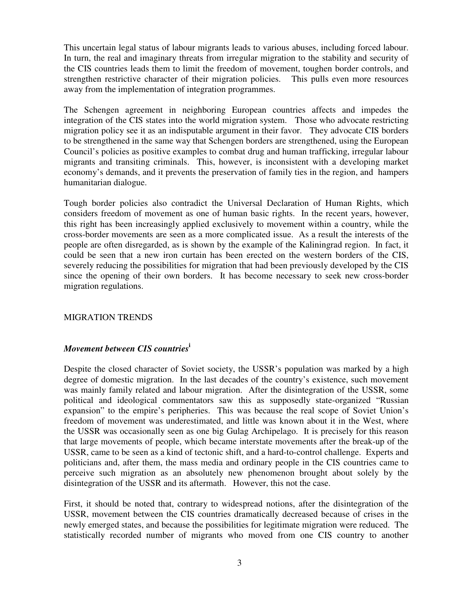This uncertain legal status of labour migrants leads to various abuses, including forced labour. In turn, the real and imaginary threats from irregular migration to the stability and security of the CIS countries leads them to limit the freedom of movement, toughen border controls, and strengthen restrictive character of their migration policies. This pulls even more resources away from the implementation of integration programmes.

The Schengen agreement in neighboring European countries affects and impedes the integration of the CIS states into the world migration system. Those who advocate restricting migration policy see it as an indisputable argument in their favor. They advocate CIS borders to be strengthened in the same way that Schengen borders are strengthened, using the European Council's policies as positive examples to combat drug and human trafficking, irregular labour migrants and transiting criminals. This, however, is inconsistent with a developing market economy's demands, and it prevents the preservation of family ties in the region, and hampers humanitarian dialogue.

Tough border policies also contradict the Universal Declaration of Human Rights, which considers freedom of movement as one of human basic rights. In the recent years, however, this right has been increasingly applied exclusively to movement within a country, while the cross-border movements are seen as a more complicated issue. As a result the interests of the people are often disregarded, as is shown by the example of the Kaliningrad region. In fact, it could be seen that a new iron curtain has been erected on the western borders of the CIS, severely reducing the possibilities for migration that had been previously developed by the CIS since the opening of their own borders. It has become necessary to seek new cross-border migration regulations.

#### MIGRATION TRENDS

# *Movement between CIS countries* **i**

Despite the closed character of Soviet society, the USSR's population was marked by a high degree of domestic migration. In the last decades of the country's existence, such movement was mainly family related and labour migration. After the disintegration of the USSR, some political and ideological commentators saw this as supposedly state-organized "Russian expansion" to the empire's peripheries. This was because the real scope of Soviet Union's freedom of movement was underestimated, and little was known about it in the West, where the USSR was occasionally seen as one big Gulag Archipelago. It is precisely for this reason that large movements of people, which became interstate movements after the break-up of the USSR, came to be seen as a kind of tectonic shift, and a hard-to-control challenge. Experts and politicians and, after them, the mass media and ordinary people in the CIS countries came to perceive such migration as an absolutely new phenomenon brought about solely by the disintegration of the USSR and its aftermath. However, this not the case.

First, it should be noted that, contrary to widespread notions, after the disintegration of the USSR, movement between the CIS countries dramatically decreased because of crises in the newly emerged states, and because the possibilities for legitimate migration were reduced. The statistically recorded number of migrants who moved from one CIS country to another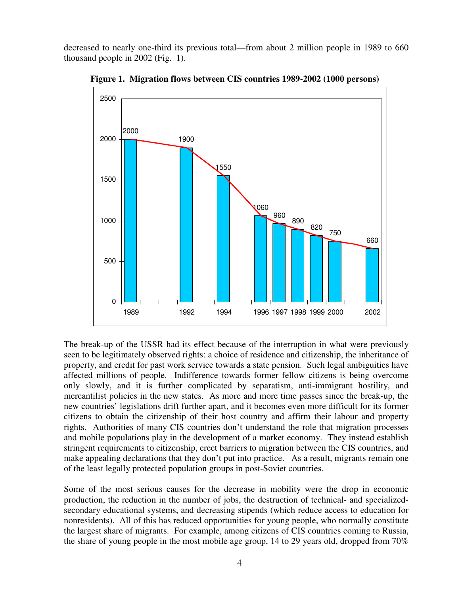decreased to nearly one-third its previous total—from about 2 million people in 1989 to 660 thousand people in 2002 (Fig. 1).



**Figure 1. Migration flows between CIS countries 1989-2002 (1000 persons)**

The break-up of the USSR had its effect because of the interruption in what were previously seen to be legitimately observed rights: a choice of residence and citizenship, the inheritance of property, and credit for past work service towards a state pension. Such legal ambiguities have affected millions of people. Indifference towards former fellow citizens is being overcome only slowly, and it is further complicated by separatism, anti-immigrant hostility, and mercantilist policies in the new states. As more and more time passes since the break-up, the new countries' legislations drift further apart, and it becomes even more difficult for its former citizens to obtain the citizenship of their host country and affirm their labour and property rights. Authorities of many CIS countries don't understand the role that migration processes and mobile populations play in the development of a market economy. They instead establish stringent requirements to citizenship, erect barriers to migration between the CIS countries, and make appealing declarations that they don't put into practice. As a result, migrants remain one of the least legally protected population groups in post-Soviet countries.

Some of the most serious causes for the decrease in mobility were the drop in economic production, the reduction in the number of jobs, the destruction of technical- and specializedsecondary educational systems, and decreasing stipends (which reduce access to education for nonresidents). All of this has reduced opportunities for young people, who normally constitute the largest share of migrants. For example, among citizens of CIS countries coming to Russia, the share of young people in the most mobile age group, 14 to 29 years old, dropped from 70%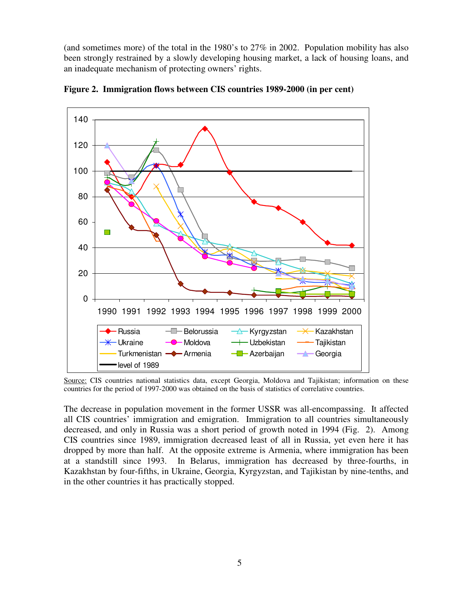(and sometimes more) of the total in the 1980's to 27% in 2002. Population mobility has also been strongly restrained by a slowly developing housing market, a lack of housing loans, and an inadequate mechanism of protecting owners' rights.



**Figure 2. Immigration flows between CIS countries 1989-2000 (in per cent)**

Source: CIS countries national statistics data, except Georgia, Moldova and Tajikistan; information on these countries for the period of 1997-2000 was obtained on the basis of statistics of correlative countries.

The decrease in population movement in the former USSR was all-encompassing. It affected all CIS countries' immigration and emigration. Immigration to all countries simultaneously decreased, and only in Russia was a short period of growth noted in 1994 (Fig. 2). Among CIS countries since 1989, immigration decreased least of all in Russia, yet even here it has dropped by more than half. At the opposite extreme is Armenia, where immigration has been at a standstill since 1993. In Belarus, immigration has decreased by three-fourths, in Kazakhstan by four-fifths, in Ukraine, Georgia, Kyrgyzstan, and Tajikistan by nine-tenths, and in the other countries it has practically stopped.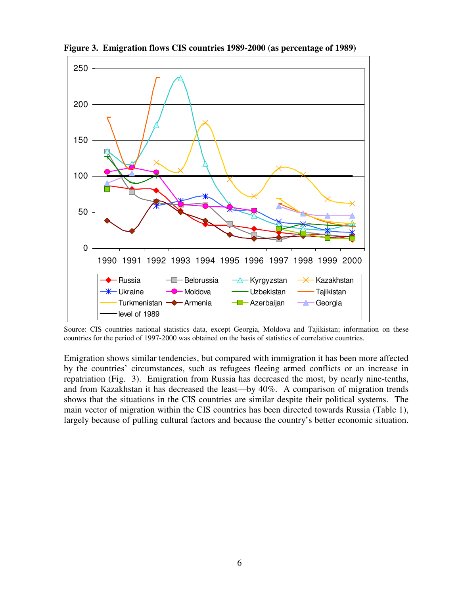

**Figure 3. Emigration flows CIS countries 1989-2000 (as percentage of 1989)**

Source: CIS countries national statistics data, except Georgia, Moldova and Tajikistan; information on these countries for the period of 1997-2000 was obtained on the basis of statistics of correlative countries.

Emigration shows similar tendencies, but compared with immigration it has been more affected by the countries' circumstances, such as refugees fleeing armed conflicts or an increase in repatriation (Fig. 3). Emigration from Russia has decreased the most, by nearly nine-tenths, and from Kazakhstan it has decreased the least—by 40%. A comparison of migration trends shows that the situations in the CIS countries are similar despite their political systems. The main vector of migration within the CIS countries has been directed towards Russia (Table 1), largely because of pulling cultural factors and because the country's better economic situation.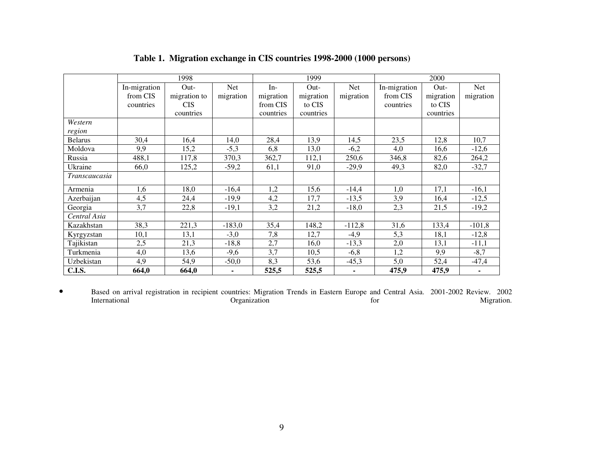|                | 1998         |              |            | 1999      |           |           | 2000         |           |           |
|----------------|--------------|--------------|------------|-----------|-----------|-----------|--------------|-----------|-----------|
|                | In-migration | Out-         | <b>Net</b> | $In-$     | Out-      | Net       | In-migration | Out-      | Net       |
|                | from CIS     | migration to | migration  | migration | migration | migration | from CIS     | migration | migration |
|                | countries    | <b>CIS</b>   |            | from CIS  | to CIS    |           | countries    | to CIS    |           |
|                |              | countries    |            | countries | countries |           |              | countries |           |
| Western        |              |              |            |           |           |           |              |           |           |
| region         |              |              |            |           |           |           |              |           |           |
| <b>Belarus</b> | 30,4         | 16,4         | 14,0       | 28,4      | 13,9      | 14,5      | 23,5         | 12,8      | 10,7      |
| Moldova        | 9,9          | 15,2         | $-5,3$     | 6,8       | 13,0      | $-6,2$    | 4,0          | 16,6      | $-12,6$   |
| Russia         | 488,1        | 117,8        | 370,3      | 362,7     | 112,1     | 250,6     | 346,8        | 82,6      | 264,2     |
| Ukraine        | 66,0         | 125,2        | $-59,2$    | 61,1      | 91,0      | $-29,9$   | 49,3         | 82,0      | $-32,7$   |
| Transcaucasia  |              |              |            |           |           |           |              |           |           |
| Armenia        | 1,6          | 18,0         | $-16,4$    | 1,2       | 15,6      | $-14,4$   | 1,0          | 17,1      | $-16,1$   |
| Azerbaijan     | 4,5          | 24,4         | $-19,9$    | 4,2       | 17,7      | $-13,5$   | 3,9          | 16,4      | $-12,5$   |
| Georgia        | 3,7          | 22,8         | $-19,1$    | 3,2       | 21,2      | $-18,0$   | 2,3          | 21,5      | $-19,2$   |
| Central Asia   |              |              |            |           |           |           |              |           |           |
| Kazakhstan     | 38,3         | 221,3        | $-183,0$   | 35,4      | 148,2     | $-112,8$  | 31,6         | 133,4     | $-101,8$  |
| Kyrgyzstan     | 10,1         | 13,1         | $-3,0$     | 7,8       | 12,7      | $-4,9$    | 5,3          | 18,1      | $-12,8$   |
| Tajikistan     | 2,5          | 21,3         | $-18,8$    | 2,7       | 16,0      | $-13,3$   | 2,0          | 13,1      | $-11,1$   |
| Turkmenia      | 4,0          | 13,6         | $-9,6$     | 3,7       | 10,5      | $-6,8$    | 1,2          | 9,9       | $-8,7$    |
| Uzbekistan     | 4,9          | 54,9         | $-50,0$    | 8,3       | 53,6      | $-45,3$   | 5,0          | 52,4      | $-47,4$   |
| <b>C.I.S.</b>  | 664,0        | 664,0        |            | 525,5     | 525,5     |           | 475,9        | 475,9     |           |

#### **Table 1. Migration exchange in CIS countries 1998-2000 (1000 persons)**

 $\bullet$  Based on arrival registration in recipient countries: Migration Trends in Eastern Europe and Central Asia. 2001-2002 Review. 2002 InternationalOrganization for Migration.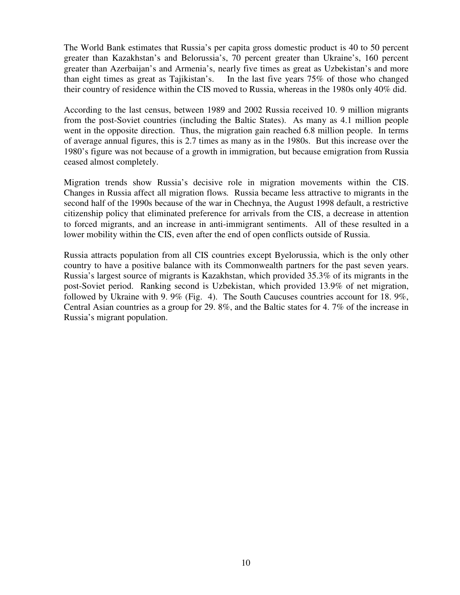The World Bank estimates that Russia's per capita gross domestic product is 40 to 50 percent greater than Kazakhstan's and Belorussia's, 70 percent greater than Ukraine's, 160 percent greater than Azerbaijan's and Armenia's, nearly five times as great as Uzbekistan's and more than eight times as great as Tajikistan's. In the last five years 75% of those who changed In the last five years  $75\%$  of those who changed their country of residence within the CIS moved to Russia, whereas in the 1980s only 40% did.

According to the last census, between 1989 and 2002 Russia received 10. 9 million migrants from the post-Soviet countries (including the Baltic States). As many as 4.1 million people went in the opposite direction. Thus, the migration gain reached 6.8 million people. In terms of average annual figures, this is 2.7 times as many as in the 1980s. But this increase over the 1980's figure was not because of a growth in immigration, but because emigration from Russia ceased almost completely.

Migration trends show Russia's decisive role in migration movements within the CIS. Changes in Russia affect all migration flows*.* Russia became less attractive to migrants in the second half of the 1990s because of the war in Chechnya, the August 1998 default, a restrictive citizenship policy that eliminated preference for arrivals from the CIS, a decrease in attention to forced migrants, and an increase in anti-immigrant sentiments. All of these resulted in a lower mobility within the CIS, even after the end of open conflicts outside of Russia.

Russia attracts population from all CIS countries except Byelorussia, which is the only other country to have a positive balance with its Commonwealth partners for the past seven years. Russia's largest source of migrants is Kazakhstan, which provided 35.3% of its migrants in the post-Soviet period. Ranking second is Uzbekistan, which provided 13.9% of net migration, followed by Ukraine with 9. 9% (Fig. 4). The South Caucuses countries account for 18. 9%, Central Asian countries as a group for 29. 8%, and the Baltic states for 4. 7% of the increase in Russia's migrant population.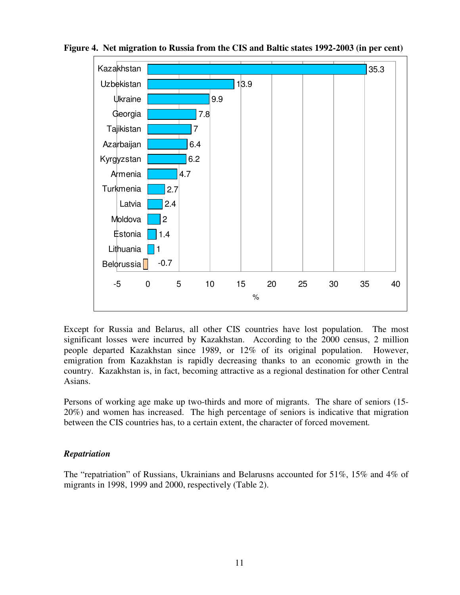

**Figure 4. Net migration to Russia from the CIS and Baltic states 1992-2003 (in per cent)**

Except for Russia and Belarus, all other CIS countries have lost population. The most significant losses were incurred by Kazakhstan. According to the 2000 census, 2 million people departed Kazakhstan since 1989, or 12% of its original population. However, emigration from Kazakhstan is rapidly decreasing thanks to an economic growth in the country. Kazakhstan is, in fact, becoming attractive as a regional destination for other Central Asians.

Persons of working age make up two-thirds and more of migrants. The share of seniors (15- 20%) and women has increased. The high percentage of seniors is indicative that migration between the CIS countries has, to a certain extent, the character of forced movement*.*

#### *Repatriation*

The "repatriation" of Russians, Ukrainians and Belarusns accounted for 51%, 15% and 4% of migrants in 1998, 1999 and 2000, respectively (Table 2).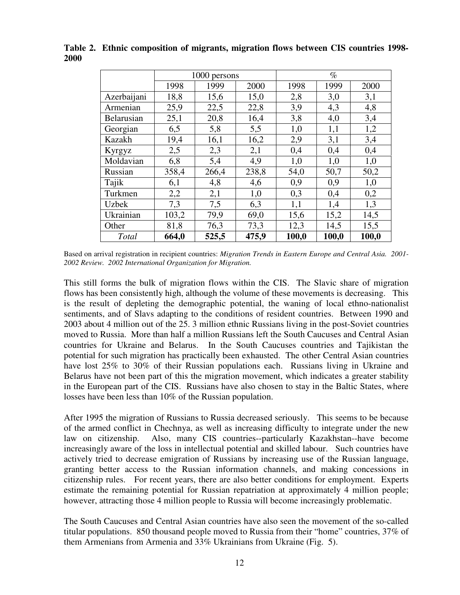|              | 1000 persons |       |       | $\%$  |       |       |  |
|--------------|--------------|-------|-------|-------|-------|-------|--|
|              | 1998         | 1999  | 2000  | 1998  | 1999  | 2000  |  |
| Azerbaijani  | 18,8         | 15,6  | 15,0  | 2,8   | 3,0   | 3,1   |  |
| Armenian     | 25,9         | 22,5  | 22,8  | 3,9   | 4,3   | 4,8   |  |
| Belarusian   | 25,1         | 20,8  | 16,4  | 3,8   | 4,0   | 3,4   |  |
| Georgian     | 6,5          | 5,8   | 5,5   | 1,0   | 1,1   | 1,2   |  |
| Kazakh       | 19,4         | 16,1  | 16,2  | 2,9   | 3,1   | 3,4   |  |
| Kyrgyz       | 2,5          | 2,3   | 2,1   | 0,4   | 0,4   | 0,4   |  |
| Moldavian    | 6,8          | 5,4   | 4,9   | 1,0   | 1,0   | 1,0   |  |
| Russian      | 358,4        | 266,4 | 238,8 | 54,0  | 50,7  | 50,2  |  |
| Tajik        | 6,1          | 4,8   | 4,6   | 0,9   | 0,9   | 1,0   |  |
| Turkmen      | 2,2          | 2,1   | 1,0   | 0,3   | 0,4   | 0,2   |  |
| <b>Uzbek</b> | 7,3          | 7,5   | 6,3   | 1,1   | 1,4   | 1,3   |  |
| Ukrainian    | 103,2        | 79,9  | 69,0  | 15,6  | 15,2  | 14,5  |  |
| Other        | 81,8         | 76,3  | 73,3  | 12,3  | 14,5  | 15,5  |  |
| Total        | 664,0        | 525,5 | 475,9 | 100,0 | 100,0 | 100,0 |  |

**Table 2. Ethnic composition of migrants, migration flows between CIS countries 1998- 2000**

Based on arrival registration in recipient countries: *Migration Trends in Eastern Europe and Central Asia. 2001- 2002 Review. 2002 International Organization for Migration.*

This still forms the bulk of migration flows within the CIS. The Slavic share of migration flows has been consistently high, although the volume of these movements is decreasing. This is the result of depleting the demographic potential, the waning of local ethno-nationalist sentiments, and of Slavs adapting to the conditions of resident countries. Between 1990 and 2003 about 4 million out of the 25. 3 million ethnic Russians living in the post-Soviet countries moved to Russia. More than half a million Russians left the South Caucuses and Central Asian countries for Ukraine and Belarus. In the South Caucuses countries and Tajikistan the potential for such migration has practically been exhausted. The other Central Asian countries have lost 25% to 30% of their Russian populations each. Russians living in Ukraine and Belarus have not been part of this the migration movement, which indicates a greater stability in the European part of the CIS. Russians have also chosen to stay in the Baltic States, where losses have been less than 10% of the Russian population.

After 1995 the migration of Russians to Russia decreased seriously. This seems to be because of the armed conflict in Chechnya, as well as increasing difficulty to integrate under the new law on citizenship. Also, many CIS countries--particularly Kazakhstan--have become increasingly aware of the loss in intellectual potential and skilled labour. Such countries have actively tried to decrease emigration of Russians by increasing use of the Russian language, granting better access to the Russian information channels, and making concessions in citizenship rules. For recent years, there are also better conditions for employment. Experts estimate the remaining potential for Russian repatriation at approximately 4 million people; however, attracting those 4 million people to Russia will become increasingly problematic.

The South Caucuses and Central Asian countries have also seen the movement of the so-called titular populations. 850 thousand people moved to Russia from their "home" countries, 37% of them Armenians from Armenia and 33% Ukrainians from Ukraine (Fig. 5).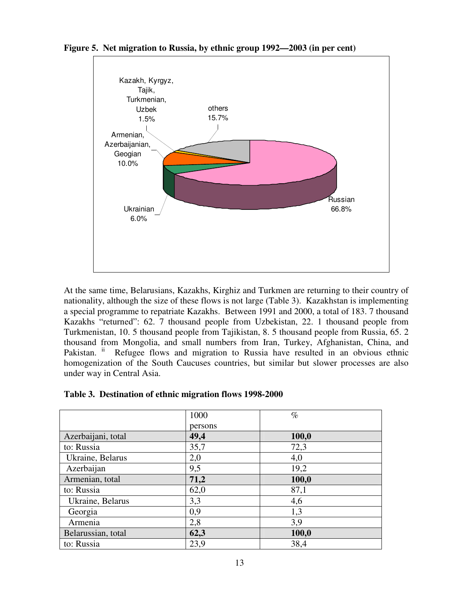

**Figure 5. Net migration to Russia, by ethnic group 1992—2003 (in per cent)**

At the same time, Belarusians, Kazakhs, Kirghiz and Turkmen are returning to their country of nationality, although the size of these flows is not large (Table 3). Kazakhstan is implementing a special programme to repatriate Kazakhs. Between 1991 and 2000, a total of 183. 7 thousand Kazakhs "returned": 62. 7 thousand people from Uzbekistan, 22. 1 thousand people from Turkmenistan, 10. 5 thousand people from Tajikistan, 8. 5 thousand people from Russia, 65. 2 thousand from Mongolia, and small numbers from Iran, Turkey, Afghanistan, China, and Pakistan. ii Refugee flows and migration to Russia have resulted in an obvious ethnic homogenization of the South Caucuses countries, but similar but slower processes are also under way in Central Asia.

#### **Table 3. Destination of ethnic migration flows 1998-2000**

|                    | 1000    | $\%$  |
|--------------------|---------|-------|
|                    | persons |       |
| Azerbaijani, total | 49,4    | 100,0 |
| to: Russia         | 35,7    | 72,3  |
| Ukraine, Belarus   | 2,0     | 4,0   |
| Azerbaijan         | 9,5     | 19,2  |
| Armenian, total    | 71,2    | 100,0 |
| to: Russia         | 62,0    | 87,1  |
| Ukraine, Belarus   | 3,3     | 4,6   |
| Georgia            | 0,9     | 1,3   |
| Armenia            | 2,8     | 3,9   |
| Belarussian, total | 62,3    | 100,0 |
| to: Russia         | 23,9    | 38,4  |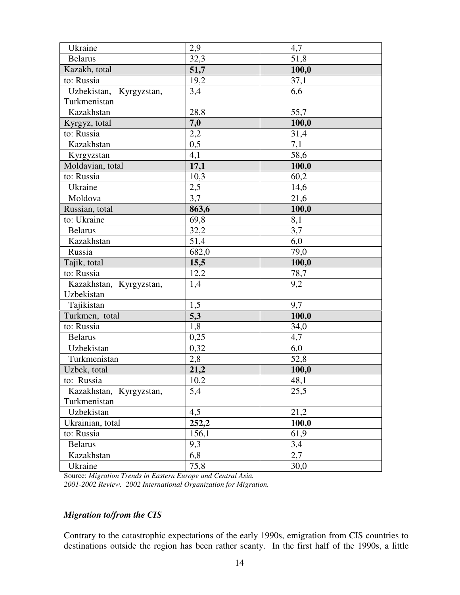| Ukraine                 | 2,9              | 4,7   |
|-------------------------|------------------|-------|
| <b>Belarus</b>          | 32,3             | 51,8  |
| Kazakh, total           | 51,7             | 100,0 |
| to: Russia              | 19,2             | 37,1  |
| Uzbekistan, Kyrgyzstan, | 3,4              | 6,6   |
| Turkmenistan            |                  |       |
| Kazakhstan              | 28,8             | 55,7  |
| Kyrgyz, total           | 7,0              | 100,0 |
| to: Russia              | $2,\overline{2}$ | 31,4  |
| Kazakhstan              | $0,\overline{5}$ | 7,1   |
| Kyrgyzstan              | 4,1              | 58,6  |
| Moldavian, total        | 17,1             | 100,0 |
| to: Russia              | 10,3             | 60,2  |
| Ukraine                 | 2,5              | 14,6  |
| Moldova                 | 3,7              | 21,6  |
| Russian, total          | 863,6            | 100,0 |
| to: Ukraine             | 69,8             | 8,1   |
| <b>Belarus</b>          | 32,2             | 3,7   |
| Kazakhstan              | 51,4             | 6,0   |
| Russia                  | 682,0            | 79,0  |
| Tajik, total            | 15,5             | 100,0 |
| to: Russia              | 12,2             | 78,7  |
| Kazakhstan, Kyrgyzstan, | 1,4              | 9,2   |
| Uzbekistan              |                  |       |
| Tajikistan              | 1,5              | 9,7   |
| Turkmen, total          | 5,3              | 100,0 |
| to: Russia              | 1,8              | 34,0  |
| <b>Belarus</b>          | 0,25             | 4,7   |
| Uzbekistan              | 0,32             | 6,0   |
| Turkmenistan            | 2,8              | 52,8  |
| Uzbek, total            | 21,2             | 100,0 |
| to: Russia              | 10,2             | 48,1  |
| Kazakhstan, Kyrgyzstan, | 5,4              | 25,5  |
| Turkmenistan            |                  |       |
| Uzbekistan              | 4,5              | 21,2  |
| Ukrainian, total        | 252,2            | 100,0 |
| to: Russia              | 156,1            | 61,9  |
| <b>Belarus</b>          | 9,3              | 3,4   |
| Kazakhstan              | 6,8              | 2,7   |
| Ukraine                 | 75,8             | 30,0  |

Source: *Migration Trends in Eastern Europe and Central Asia. 2001-2002 Review. 2002 International Organization for Migration.*

# *Migration to/from the CIS*

Contrary to the catastrophic expectations of the early 1990s, emigration from CIS countries to destinations outside the region has been rather scanty. In the first half of the 1990s, a little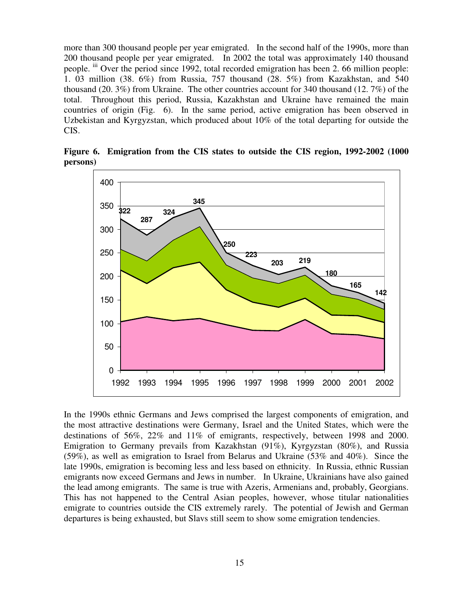more than 300 thousand people per year emigrated. In the second half of the 1990s, more than 200 thousand people per year emigrated. In 2002 the total was approximately 140 thousand people. iii Over the period since 1992, total recorded emigration has been 2. 66 million people: 1. 03 million (38. 6%) from Russia, 757 thousand (28. 5%) from Kazakhstan, and 540 thousand (20. 3%) from Ukraine. The other countries account for 340 thousand (12. 7%) of the total. Throughout this period, Russia, Kazakhstan and Ukraine have remained the main countries of origin (Fig. 6). In the same period, active emigration has been observed in Uzbekistan and Kyrgyzstan, which produced about 10% of the total departing for outside the CIS.



**Figure 6. Emigration from the CIS states to outside the CIS region, 1992-2002 (1000 persons)**

In the 1990s ethnic Germans and Jews comprised the largest components of emigration, and the most attractive destinations were Germany, Israel and the United States, which were the destinations of 56%, 22% and 11% of emigrants, respectively, between 1998 and 2000. Emigration to Germany prevails from Kazakhstan (91%), Kyrgyzstan (80%), and Russia (59%), as well as emigration to Israel from Belarus and Ukraine (53% and 40%). Since the late 1990s, emigration is becoming less and less based on ethnicity. In Russia, ethnic Russian emigrants now exceed Germans and Jews in number. In Ukraine, Ukrainians have also gained the lead among emigrants. The same is true with Azeris, Armenians and, probably, Georgians. This has not happened to the Central Asian peoples, however, whose titular nationalities emigrate to countries outside the CIS extremely rarely. The potential of Jewish and German departures is being exhausted, but Slavs still seem to show some emigration tendencies.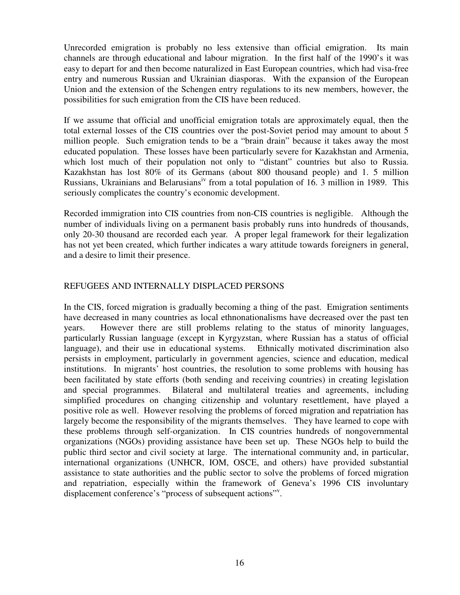Unrecorded emigration is probably no less extensive than official emigration. Its main channels are through educational and labour migration. In the first half of the 1990's it was easy to depart for and then become naturalized in East European countries, which had visa-free entry and numerous Russian and Ukrainian diasporas. With the expansion of the European Union and the extension of the Schengen entry regulations to its new members, however, the possibilities for such emigration from the CIS have been reduced.

If we assume that official and unofficial emigration totals are approximately equal, then the total external losses of the CIS countries over the post-Soviet period may amount to about 5 million people. Such emigration tends to be a "brain drain" because it takes away the most educated population. These losses have been particularly severe for Kazakhstan and Armenia, which lost much of their population not only to "distant" countries but also to Russia. Kazakhstan has lost 80% of its Germans (about 800 thousand people) and 1. 5 million Russians, Ukrainians and Belarusians<sup>iv</sup> from a total population of 16. 3 million in 1989. This seriously complicates the country's economic development.

Recorded immigration into CIS countries from non-CIS countries is negligible. Although the number of individuals living on a permanent basis probably runs into hundreds of thousands, only 20-30 thousand are recorded each year*.* A proper legal framework for their legalization has not yet been created, which further indicates a wary attitude towards foreigners in general, and a desire to limit their presence.

## REFUGEES AND INTERNALLY DISPLACED PERSONS

In the CIS, forced migration is gradually becoming a thing of the past. Emigration sentiments have decreased in many countries as local ethnonationalisms have decreased over the past ten years. However there are still problems relating to the status of minority languages, particularly Russian language (except in Kyrgyzstan, where Russian has a status of official language), and their use in educational systems. Ethnically motivated discrimination also persists in employment, particularly in government agencies, science and education, medical institutions. In migrants' host countries, the resolution to some problems with housing has been facilitated by state efforts (both sending and receiving countries) in creating legislation and special programmes. Bilateral and multilateral treaties and agreements, including simplified procedures on changing citizenship and voluntary resettlement, have played a positive role as well. However resolving the problems of forced migration and repatriation has largely become the responsibility of the migrants themselves. They have learned to cope with these problems through self-organization. In CIS countries hundreds of nongovernmental organizations (NGOs) providing assistance have been set up. These NGOs help to build the public third sector and civil society at large. The international community and, in particular, international organizations (UNHCR, IOM, OSCE, and others) have provided substantial assistance to state authorities and the public sector to solve the problems of forced migration and repatriation, especially within the framework of Geneva's 1996 CIS involuntary displacement conference's "process of subsequent actions"<sup>v</sup>.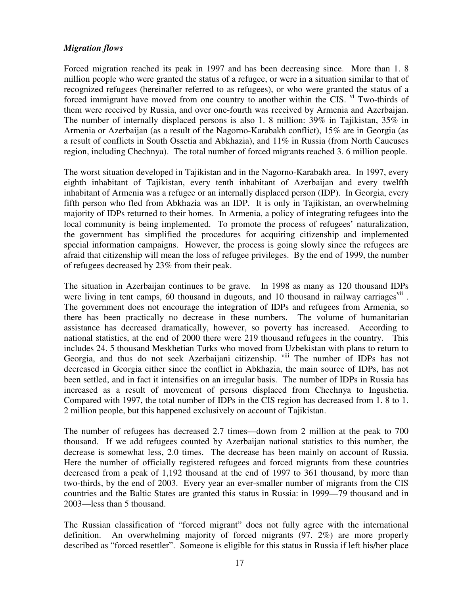## *Migration flows*

Forced migration reached its peak in 1997 and has been decreasing since. More than 1. 8 million people who were granted the status of a refugee, or were in a situation similar to that of recognized refugees (hereinafter referred to as refugees), or who were granted the status of a forced immigrant have moved from one country to another within the CIS. Vi Two-thirds of them were received by Russia, and over one-fourth was received by Armenia and Azerbaijan. The number of internally displaced persons is also 1. 8 million: 39% in Tajikistan, 35% in Armenia or Azerbaijan (as a result of the Nagorno-Karabakh conflict), 15% are in Georgia (as a result of conflicts in South Ossetia and Abkhazia), and 11% in Russia (from North Caucuses region, including Chechnya). The total number of forced migrants reached 3. 6 million people.

The worst situation developed in Tajikistan and in the Nagorno-Karabakh area. In 1997, every eighth inhabitant of Tajikistan, every tenth inhabitant of Azerbaijan and every twelfth inhabitant of Armenia was a refugee or an internally displaced person (IDP). In Georgia, every fifth person who fled from Abkhazia was an IDP. It is only in Tajikistan, an overwhelming majority of IDPs returned to their homes. In Armenia, a policy of integrating refugees into the local community is being implemented. To promote the process of refugees' naturalization, the government has simplified the procedures for acquiring citizenship and implemented special information campaigns. However, the process is going slowly since the refugees are afraid that citizenship will mean the loss of refugee privileges. By the end of 1999, the number of refugees decreased by 23% from their peak.

The situation in Azerbaijan continues to be grave. In 1998 as many as 120 thousand IDPs were living in tent camps, 60 thousand in dugouts, and 10 thousand in railway carriages<sup>vii</sup>. The government does not encourage the integration of IDPs and refugees from Armenia, so there has been practically no decrease in these numbers. The volume of humanitarian assistance has decreased dramatically, however, so poverty has increased. According to national statistics, at the end of 2000 there were 219 thousand refugees in the country. This includes 24. 5 thousand Meskhetian Turks who moved from Uzbekistan with plans to return to Georgia, and thus do not seek Azerbaijani citizenship. viii The number of IDPs has not decreased in Georgia either since the conflict in Abkhazia, the main source of IDPs, has not been settled, and in fact it intensifies on an irregular basis. The number of IDPs in Russia has increased as a result of movement of persons displaced from Chechnya to Ingushetia. Compared with 1997, the total number of IDPs in the CIS region has decreased from 1. 8 to 1. 2 million people, but this happened exclusively on account of Tajikistan.

The number of refugees has decreased 2.7 times—down from 2 million at the peak to 700 thousand. If we add refugees counted by Azerbaijan national statistics to this number, the decrease is somewhat less, 2.0 times. The decrease has been mainly on account of Russia. Here the number of officially registered refugees and forced migrants from these countries decreased from a peak of 1,192 thousand at the end of 1997 to 361 thousand, by more than two-thirds, by the end of 2003. Every year an ever-smaller number of migrants from the CIS countries and the Baltic States are granted this status in Russia: in 1999—79 thousand and in 2003—less than 5 thousand.

The Russian classification of "forced migrant" does not fully agree with the international definition. An overwhelming majority of forced migrants (97. 2%) are more properly described as "forced resettler". Someone is eligible for this status in Russia if left his/her place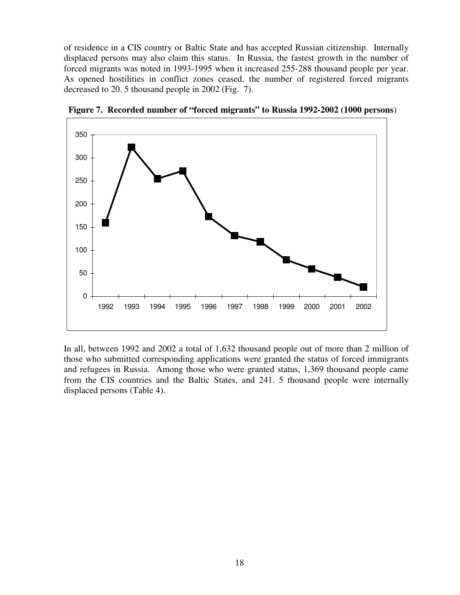of residence in a CIS country or Baltic State and has accepted Russian citizenship. Internally displaced persons may also claim this status. In Russia, the fastest growth in the number of forced migrants was noted in 1993-1995 when it increased 255-288 thousand people per year. As opened hostilities in conflict zones ceased, the number of registered forced migrants decreased to 20. 5 thousand people in 2002 (Fig. 7).



**Figure 7. Recorded number of "forced migrants" to Russia 1992-2002 (1000 persons**)

In all, between 1992 and 2002 a total of 1,632 thousand people out of more than 2 million of those who submitted corresponding applications were granted the status of forced immigrants and refugees in Russia. Among those who were granted status, 1,369 thousand people came from the CIS countries and the Baltic States, and 241. 5 thousand people were internally displaced persons (Table 4).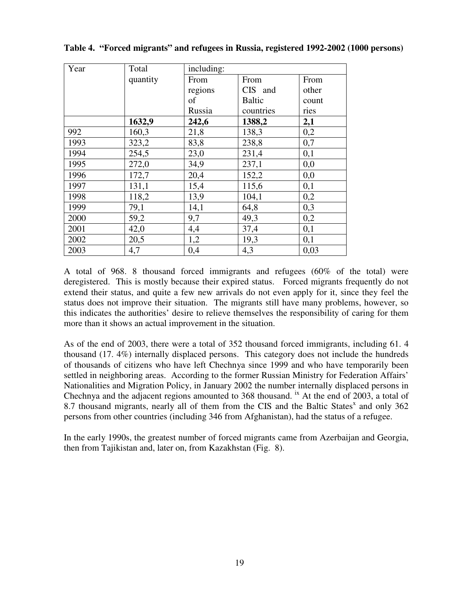| Year | Total    | including: |           |       |  |  |
|------|----------|------------|-----------|-------|--|--|
|      | quantity | From       | From      | From  |  |  |
|      |          | regions    | CIS and   | other |  |  |
|      |          | of         | Baltic    | count |  |  |
|      |          | Russia     | countries | ries  |  |  |
|      | 1632,9   | 242,6      | 1388,2    | 2,1   |  |  |
| 992  | 160,3    | 21,8       | 138,3     | 0,2   |  |  |
| 1993 | 323,2    | 83,8       | 238,8     | 0,7   |  |  |
| 1994 | 254,5    | 23,0       | 231,4     | 0,1   |  |  |
| 1995 | 272,0    | 34,9       | 237,1     | 0,0   |  |  |
| 1996 | 172,7    | 20,4       | 152,2     | 0,0   |  |  |
| 1997 | 131,1    | 15,4       | 115,6     | 0,1   |  |  |
| 1998 | 118,2    | 13,9       | 104,1     | 0,2   |  |  |
| 1999 | 79,1     | 14,1       | 64,8      | 0,3   |  |  |
| 2000 | 59,2     | 9,7        | 49,3      | 0,2   |  |  |
| 2001 | 42,0     | 4,4        | 37,4      | 0,1   |  |  |
| 2002 | 20,5     | 1,2        | 19,3      | 0,1   |  |  |
| 2003 | 4,7      | 0,4        | 4,3       | 0,03  |  |  |

**Table 4. "Forced migrants" and refugees in Russia, registered 1992-2002 (1000 persons)**

A total of 968. 8 thousand forced immigrants and refugees (60% of the total) were deregistered. This is mostly because their expired status. Forced migrants frequently do not extend their status, and quite a few new arrivals do not even apply for it, since they feel the status does not improve their situation. The migrants still have many problems, however, so this indicates the authorities' desire to relieve themselves the responsibility of caring for them more than it shows an actual improvement in the situation.

As of the end of 2003, there were a total of 352 thousand forced immigrants, including 61. 4 thousand (17. 4%) internally displaced persons. This category does not include the hundreds of thousands of citizens who have left Chechnya since 1999 and who have temporarily been settled in neighboring areas. According to the former Russian Ministry for Federation Affairs' Nationalities and Migration Policy, in January 2002 the number internally displaced persons in Chechnya and the adjacent regions amounted to 368 thousand. <sup>ix</sup> At the end of 2003, a total of 8.7 thousand migrants, nearly all of them from the CIS and the Baltic States<sup>x</sup> and only 362 persons from other countries (including 346 from Afghanistan), had the status of a refugee.

In the early 1990s, the greatest number of forced migrants came from Azerbaijan and Georgia, then from Tajikistan and, later on, from Kazakhstan (Fig. 8).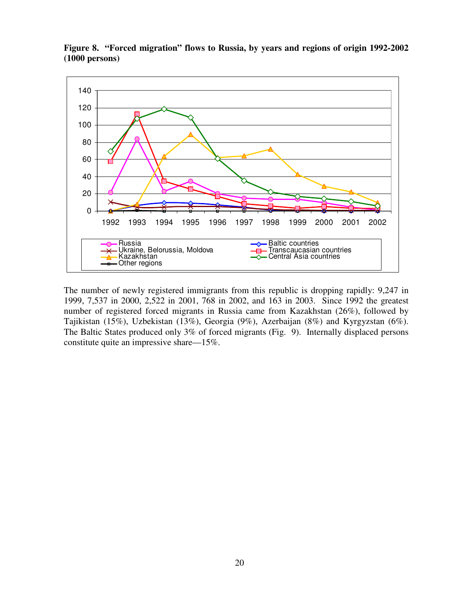

**Figure 8. "Forced migration" flows to Russia, by years and regions of origin 1992-2002 (1000 persons)**

The number of newly registered immigrants from this republic is dropping rapidly: 9,247 in 1999, 7,537 in 2000, 2,522 in 2001, 768 in 2002, and 163 in 2003. Since 1992 the greatest number of registered forced migrants in Russia came from Kazakhstan (26%), followed by Tajikistan (15%), Uzbekistan (13%), Georgia (9%), Azerbaijan (8%) and Kyrgyzstan (6%). The Baltic States produced only 3% of forced migrants (Fig. 9). Internally displaced persons constitute quite an impressive share—15%.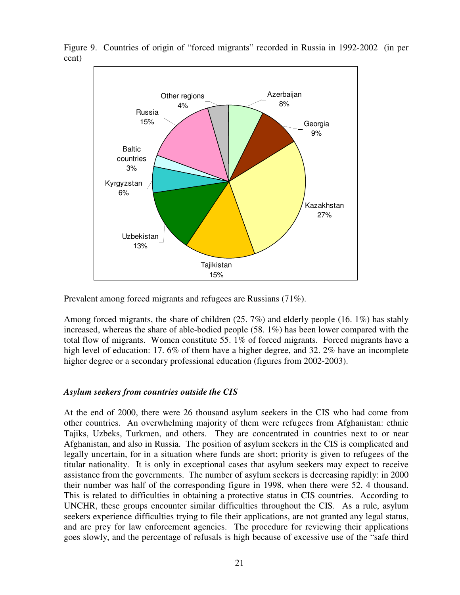

Figure 9. Countries of origin of "forced migrants" recorded in Russia in 1992-2002 (in per cent)

Prevalent among forced migrants and refugees are Russians (71%).

Among forced migrants, the share of children  $(25.7%)$  and elderly people  $(16. 1%)$  has stably increased, whereas the share of able-bodied people (58. 1%) has been lower compared with the total flow of migrants. Women constitute 55. 1% of forced migrants. Forced migrants have a high level of education: 17.6% of them have a higher degree, and 32.2% have an incomplete higher degree or a secondary professional education (figures from 2002-2003).

#### *Asylum seekers from countries outside the CIS*

At the end of 2000, there were 26 thousand asylum seekers in the CIS who had come from other countries. An overwhelming majority of them were refugees from Afghanistan: ethnic Tajiks, Uzbeks, Turkmen, and others. They are concentrated in countries next to or near Afghanistan, and also in Russia. The position of asylum seekers in the CIS is complicated and legally uncertain, for in a situation where funds are short; priority is given to refugees of the titular nationality. It is only in exceptional cases that asylum seekers may expect to receive assistance from the governments. The number of asylum seekers is decreasing rapidly: in 2000 their number was half of the corresponding figure in 1998, when there were 52. 4 thousand. This is related to difficulties in obtaining a protective status in CIS countries. According to UNCHR, these groups encounter similar difficulties throughout the CIS. As a rule, asylum seekers experience difficulties trying to file their applications, are not granted any legal status, and are prey for law enforcement agencies. The procedure for reviewing their applications goes slowly, and the percentage of refusals is high because of excessive use of the "safe third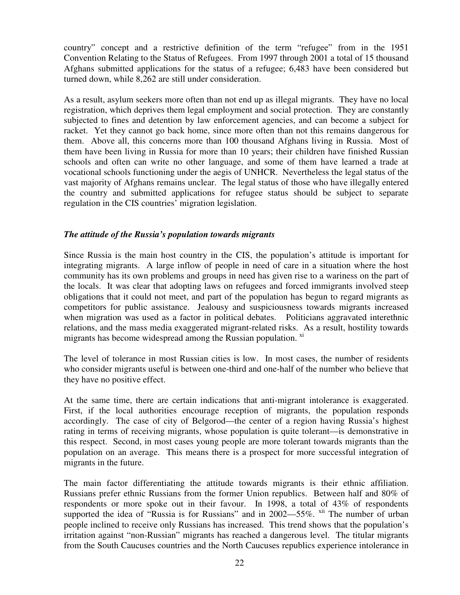country" concept and a restrictive definition of the term "refugee" from in the 1951 Convention Relating to the Status of Refugees. From 1997 through 2001 a total of 15 thousand Afghans submitted applications for the status of a refugee; 6,483 have been considered but turned down, while 8,262 are still under consideration.

As a result, asylum seekers more often than not end up as illegal migrants. They have no local registration, which deprives them legal employment and social protection. They are constantly subjected to fines and detention by law enforcement agencies, and can become a subject for racket. Yet they cannot go back home, since more often than not this remains dangerous for them. Above all, this concerns more than 100 thousand Afghans living in Russia. Most of them have been living in Russia for more than 10 years; their children have finished Russian schools and often can write no other language, and some of them have learned a trade at vocational schools functioning under the aegis of UNHCR. Nevertheless the legal status of the vast majority of Afghans remains unclear. The legal status of those who have illegally entered the country and submitted applications for refugee status should be subject to separate regulation in the CIS countries' migration legislation.

#### *The attitude of the Russia's population towards migrants*

Since Russia is the main host country in the CIS, the population's attitude is important for integrating migrants. A large inflow of people in need of care in a situation where the host community has its own problems and groups in need has given rise to a wariness on the part of the locals. It was clear that adopting laws on refugees and forced immigrants involved steep obligations that it could not meet, and part of the population has begun to regard migrants as competitors for public assistance. Jealousy and suspiciousness towards migrants increased when migration was used as a factor in political debates. Politicians aggravated interethnic relations, and the mass media exaggerated migrant-related risks. As a result, hostility towards migrants has become widespread among the Russian population. xi

The level of tolerance in most Russian cities is low. In most cases, the number of residents who consider migrants useful is between one-third and one-half of the number who believe that they have no positive effect.

At the same time, there are certain indications that anti-migrant intolerance is exaggerated. First, if the local authorities encourage reception of migrants, the population responds accordingly. The case of city of Belgorod—the center of a region having Russia's highest rating in terms of receiving migrants, whose population is quite tolerant—is demonstrative in this respect. Second, in most cases young people are more tolerant towards migrants than the population on an average. This means there is a prospect for more successful integration of migrants in the future.

The main factor differentiating the attitude towards migrants is their ethnic affiliation. Russians prefer ethnic Russians from the former Union republics. Between half and 80% of respondents or more spoke out in their favour. In 1998, a total of 43% of respondents supported the idea of "Russia is for Russians" and in  $2002 - 55\%$ .  $\frac{x}{y}$  The number of urban people inclined to receive only Russians has increased. This trend shows that the population's irritation against "non-Russian" migrants has reached a dangerous level. The titular migrants from the South Caucuses countries and the North Caucuses republics experience intolerance in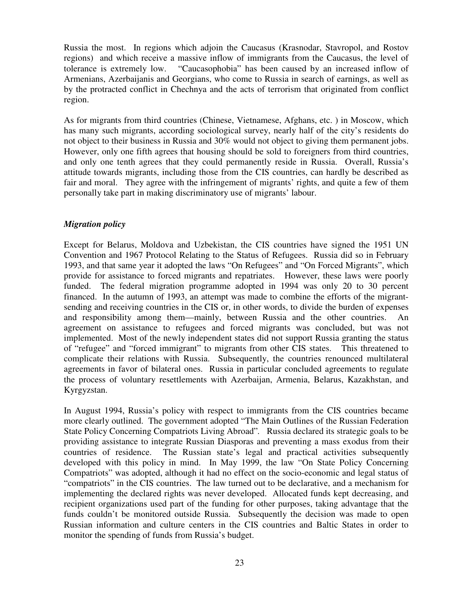Russia the most. In regions which adjoin the Caucasus (Krasnodar, Stavropol, and Rostov regions) and which receive a massive inflow of immigrants from the Caucasus, the level of tolerance is extremely low. "Caucasophobia" has been caused by an increased inflow of Armenians, Azerbaijanis and Georgians, who come to Russia in search of earnings, as well as by the protracted conflict in Chechnya and the acts of terrorism that originated from conflict region.

As for migrants from third countries (Chinese, Vietnamese, Afghans, etc. ) in Moscow, which has many such migrants, according sociological survey, nearly half of the city's residents do not object to their business in Russia and 30% would not object to giving them permanent jobs. However, only one fifth agrees that housing should be sold to foreigners from third countries, and only one tenth agrees that they could permanently reside in Russia. Overall, Russia's attitude towards migrants, including those from the CIS countries, can hardly be described as fair and moral. They agree with the infringement of migrants' rights, and quite a few of them personally take part in making discriminatory use of migrants' labour.

## *Migration policy*

Except for Belarus, Moldova and Uzbekistan, the CIS countries have signed the 1951 UN Convention and 1967 Protocol Relating to the Status of Refugees. Russia did so in February 1993, and that same year it adopted the laws "On Refugees" and "On Forced Migrants", which provide for assistance to forced migrants and repatriates. However, these laws were poorly funded. The federal migration programme adopted in 1994 was only 20 to 30 percent financed. In the autumn of 1993, an attempt was made to combine the efforts of the migrantsending and receiving countries in the CIS or, in other words, to divide the burden of expenses and responsibility among them—mainly, between Russia and the other countries. An agreement on assistance to refugees and forced migrants was concluded, but was not implemented. Most of the newly independent states did not support Russia granting the status of "refugee" and "forced immigrant" to migrants from other CIS states. This threatened to complicate their relations with Russia. Subsequently, the countries renounced multilateral agreements in favor of bilateral ones. Russia in particular concluded agreements to regulate the process of voluntary resettlements with Azerbaijan, Armenia, Belarus, Kazakhstan, and Kyrgyzstan.

In August 1994, Russia's policy with respect to immigrants from the CIS countries became more clearly outlined. The government adopted "The Main Outlines of the Russian Federation State Policy Concerning Compatriots Living Abroad"*.* Russia declared its strategic goals to be providing assistance to integrate Russian Diasporas and preventing a mass exodus from their countries of residence. The Russian state's legal and practical activities subsequently developed with this policy in mind. In May 1999, the law "On State Policy Concerning Compatriots" was adopted, although it had no effect on the socio-economic and legal status of "compatriots" in the CIS countries. The law turned out to be declarative, and a mechanism for implementing the declared rights was never developed. Allocated funds kept decreasing, and recipient organizations used part of the funding for other purposes, taking advantage that the funds couldn't be monitored outside Russia. Subsequently the decision was made to open Russian information and culture centers in the CIS countries and Baltic States in order to monitor the spending of funds from Russia's budget.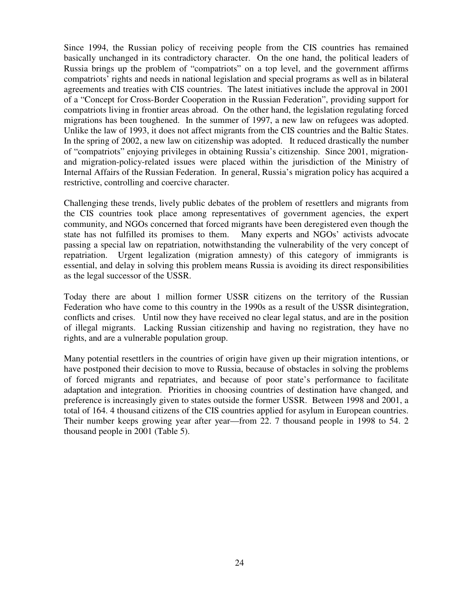Since 1994, the Russian policy of receiving people from the CIS countries has remained basically unchanged in its contradictory character. On the one hand, the political leaders of Russia brings up the problem of "compatriots" on a top level, and the government affirms compatriots' rights and needs in national legislation and special programs as well as in bilateral agreements and treaties with CIS countries. The latest initiatives include the approval in 2001 of a "Concept for Cross-Border Cooperation in the Russian Federation", providing support for compatriots living in frontier areas abroad. On the other hand, the legislation regulating forced migrations has been toughened. In the summer of 1997, a new law on refugees was adopted. Unlike the law of 1993, it does not affect migrants from the CIS countries and the Baltic States. In the spring of 2002, a new law on citizenship was adopted. It reduced drastically the number of "compatriots" enjoying privileges in obtaining Russia's citizenship. Since 2001, migrationand migration-policy-related issues were placed within the jurisdiction of the Ministry of Internal Affairs of the Russian Federation. In general, Russia's migration policy has acquired a restrictive, controlling and coercive character.

Challenging these trends, lively public debates of the problem of resettlers and migrants from the CIS countries took place among representatives of government agencies, the expert community, and NGOs concerned that forced migrants have been deregistered even though the state has not fulfilled its promises to them. Many experts and NGOs' activists advocate passing a special law on repatriation, notwithstanding the vulnerability of the very concept of repatriation. Urgent legalization (migration amnesty) of this category of immigrants is essential, and delay in solving this problem means Russia is avoiding its direct responsibilities as the legal successor of the USSR.

Today there are about 1 million former USSR citizens on the territory of the Russian Federation who have come to this country in the 1990s as a result of the USSR disintegration, conflicts and crises. Until now they have received no clear legal status, and are in the position of illegal migrants. Lacking Russian citizenship and having no registration, they have no rights, and are a vulnerable population group.

Many potential resettlers in the countries of origin have given up their migration intentions, or have postponed their decision to move to Russia, because of obstacles in solving the problems of forced migrants and repatriates, and because of poor state's performance to facilitate adaptation and integration. Priorities in choosing countries of destination have changed, and preference is increasingly given to states outside the former USSR. Between 1998 and 2001, a total of 164. 4 thousand citizens of the CIS countries applied for asylum in European countries. Their number keeps growing year after year—from 22. 7 thousand people in 1998 to 54. 2 thousand people in 2001 (Table 5).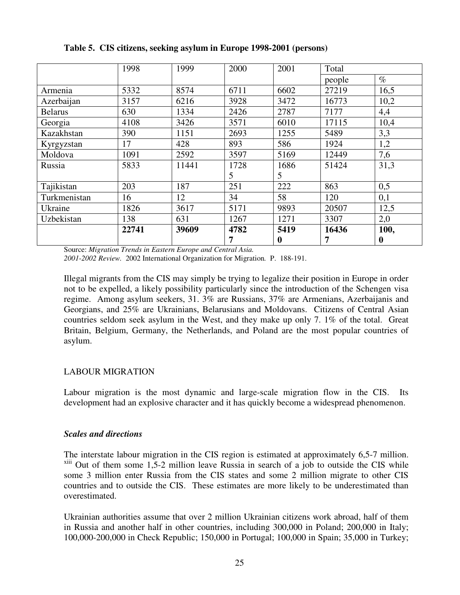|                | 1998  | 1999  | 2000 | 2001     | Total  |                  |
|----------------|-------|-------|------|----------|--------|------------------|
|                |       |       |      |          | people | $\%$             |
| Armenia        | 5332  | 8574  | 6711 | 6602     | 27219  | 16,5             |
| Azerbaijan     | 3157  | 6216  | 3928 | 3472     | 16773  | 10,2             |
| <b>Belarus</b> | 630   | 1334  | 2426 | 2787     | 7177   | 4,4              |
| Georgia        | 4108  | 3426  | 3571 | 6010     | 17115  | 10,4             |
| Kazakhstan     | 390   | 1151  | 2693 | 1255     | 5489   | 3,3              |
| Kyrgyzstan     | 17    | 428   | 893  | 586      | 1924   | 1,2              |
| Moldova        | 1091  | 2592  | 3597 | 5169     | 12449  | 7,6              |
| Russia         | 5833  | 11441 | 1728 | 1686     | 51424  | 31,3             |
|                |       |       | 5    | 5        |        |                  |
| Tajikistan     | 203   | 187   | 251  | 222      | 863    | 0,5              |
| Turkmenistan   | 16    | 12    | 34   | 58       | 120    | 0,1              |
| Ukraine        | 1826  | 3617  | 5171 | 9893     | 20507  | 12,5             |
| Uzbekistan     | 138   | 631   | 1267 | 1271     | 3307   | 2,0              |
|                | 22741 | 39609 | 4782 | 5419     | 16436  | 100,             |
|                |       |       | 7    | $\bf{0}$ | 7      | $\boldsymbol{0}$ |

**Table 5. CIS citizens, seeking asylum in Europe 1998-2001 (persons)**

Source: *Migration Trends in Eastern Europe and Central Asia.*

*2001-2002 Review.* 2002 International Organization for Migration*.* P. 188-191.

Illegal migrants from the CIS may simply be trying to legalize their position in Europe in order not to be expelled, a likely possibility particularly since the introduction of the Schengen visa regime. Among asylum seekers, 31. 3% are Russians, 37% are Armenians, Azerbaijanis and Georgians, and 25% are Ukrainians, Belarusians and Moldovans. Citizens of Central Asian countries seldom seek asylum in the West, and they make up only 7. 1% of the total. Great Britain, Belgium, Germany, the Netherlands, and Poland are the most popular countries of asylum.

## LABOUR MIGRATION

Labour migration is the most dynamic and large-scale migration flow in the CIS. Its development had an explosive character and it has quickly become a widespread phenomenon.

## *Scales and directions*

The interstate labour migration in the CIS region is estimated at approximately 6,5-7 million.  $x$ <sup>xiii</sup> Out of them some 1,5-2 million leave Russia in search of a job to outside the CIS while some 3 million enter Russia from the CIS states and some 2 million migrate to other CIS countries and to outside the CIS. These estimates are more likely to be underestimated than overestimated.

Ukrainian authorities assume that over 2 million Ukrainian citizens work abroad, half of them in Russia and another half in other countries, including 300,000 in Poland; 200,000 in Italy; 100,000-200,000 in Check Republic; 150,000 in Portugal; 100,000 in Spain; 35,000 in Turkey;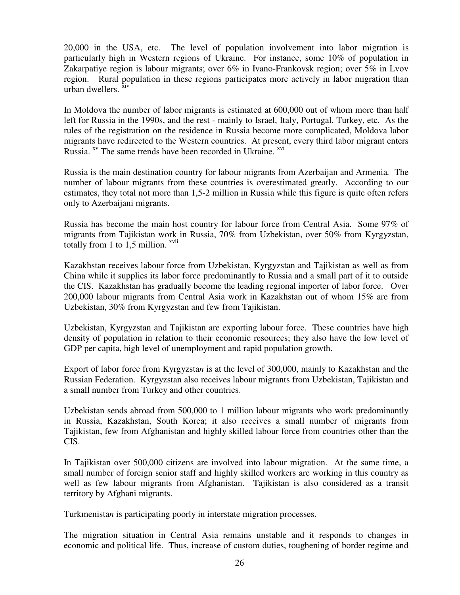20,000 in the USA, etc. The level of population involvement into labor migration is particularly high in Western regions of Ukraine. For instance, some 10% of population in Zakarpatiye region is labour migrants; over 6% in Ivano-Frankovsk region; over 5% in Lvov region. Rural population in these regions participates more actively in labor migration than urban dwellers. <sup>xiv</sup>

In Moldova the number of labor migrants is estimated at 600,000 out of whom more than half left for Russia in the 1990s, and the rest - mainly to Israel, Italy, Portugal, Turkey, etc. As the rules of the registration on the residence in Russia become more complicated, Moldova labor migrants have redirected to the Western countries. At present, every third labor migrant enters Russia. <sup>xv</sup> The same trends have been recorded in Ukraine. <sup>xvi</sup>

Russia is the main destination country for labour migrants from Azerbaijan and Armenia*.* The number of labour migrants from these countries is overestimated greatly. According to our estimates, they total not more than 1,5-2 million in Russia while this figure is quite often refers only to Azerbaijani migrants.

Russia has become the main host country for labour force from Central Asia. Some 97% of migrants from Tajikistan work in Russia, 70% from Uzbekistan, over 50% from Kyrgyzstan, totally from 1 to  $1,5$  million.  $xvii$ 

Kazakhstan receives labour force from Uzbekistan, Kyrgyzstan and Tajikistan as well as from China while it supplies its labor force predominantly to Russia and a small part of it to outside the CIS. Kazakhstan has gradually become the leading regional importer of labor force. Over 200,000 labour migrants from Central Asia work in Kazakhstan out of whom 15% are from Uzbekistan, 30% from Kyrgyzstan and few from Tajikistan.

Uzbekistan, Kyrgyzstan and Tajikistan are exporting labour force. These countries have high density of population in relation to their economic resources; they also have the low level of GDP per capita, high level of unemployment and rapid population growth.

Export of labor force from Kyrgyzsta*n* is at the level of 300,000, mainly to Kazakhstan and the Russian Federation. Kyrgyzstan also receives labour migrants from Uzbekistan, Tajikistan and a small number from Turkey and other countries.

Uzbekistan sends abroad from 500,000 to 1 million labour migrants who work predominantly in Russia, Kazakhstan, South Korea; it also receives a small number of migrants from Tajikistan, few from Afghanistan and highly skilled labour force from countries other than the CIS.

In Tajikistan over 500,000 citizens are involved into labour migration. At the same time, a small number of foreign senior staff and highly skilled workers are working in this country as well as few labour migrants from Afghanistan. Tajikistan is also considered as a transit territory by Afghani migrants.

Turkmenista*n* is participating poorly in interstate migration processes.

The migration situation in Central Asia remains unstable and it responds to changes in economic and political life. Thus, increase of custom duties, toughening of border regime and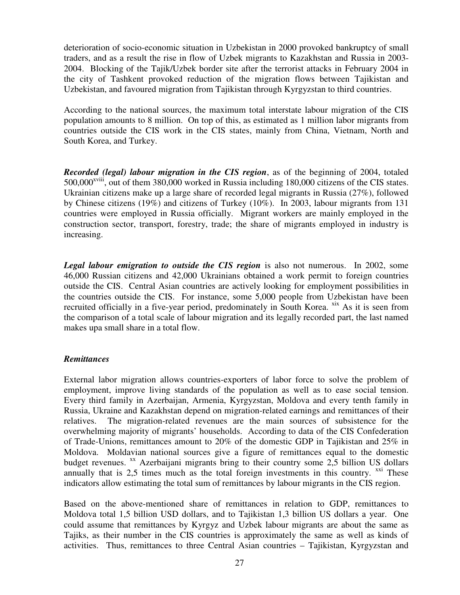deterioration of socio-economic situation in Uzbekistan in 2000 provoked bankruptcy of small traders, and as a result the rise in flow of Uzbek migrants to Kazakhstan and Russia in 2003- 2004. Blocking of the Tajik/Uzbek border site after the terrorist attacks in February 2004 in the city of Tashkent provoked reduction of the migration flows between Tajikistan and Uzbekistan, and favoured migration from Tajikistan through Kyrgyzstan to third countries.

According to the national sources, the maximum total interstate labour migration of the CIS population amounts to 8 million. On top of this, as estimated as 1 million labor migrants from countries outside the CIS work in the CIS states, mainly from China, Vietnam, North and South Korea, and Turkey.

*Recorded (legal) labour migration in the CIS region*, as of the beginning of 2004, totaled 500,000<sup>xviii</sup>, out of them 380,000 worked in Russia including 180,000 citizens of the CIS states. Ukrainian citizens make up a large share of recorded legal migrants in Russia (27%), followed by Chinese citizens (19%) and citizens of Turkey (10%). In 2003, labour migrants from 131 countries were employed in Russia officially. Migrant workers are mainly employed in the construction sector, transport, forestry, trade; the share of migrants employed in industry is increasing.

*Legal labour emigration to outside the CIS region* is also not numerous. In 2002, some 46,000 Russian citizens and 42,000 Ukrainians obtained a work permit to foreign countries outside the CIS. Central Asian countries are actively looking for employment possibilities in the countries outside the CIS. For instance, some 5,000 people from Uzbekistan have been recruited officially in a five-year period, predominately in South Korea. <sup>xix</sup> As it is seen from the comparison of a total scale of labour migration and its legally recorded part, the last named makes upa small share in a total flow.

#### *Remittances*

External labor migration allows countries-exporters of labor force to solve the problem of employment, improve living standards of the population as well as to ease social tension. Every third family in Azerbaijan, Armenia, Kyrgyzstan, Moldova and every tenth family in Russia, Ukraine and Kazakhstan depend on migration-related earnings and remittances of their relatives. The migration-related revenues are the main sources of subsistence for the overwhelming majority of migrants' households. According to data of the CIS Confederation of Trade-Unions, remittances amount to 20% of the domestic GDP in Tajikistan and 25% in Moldova. Moldavian national sources give a figure of remittances equal to the domestic budget revenues. <sup>xx</sup> Azerbaijani migrants bring to their country some 2,5 billion US dollars annually that is  $2,5$  times much as the total foreign investments in this country.  $X^{\text{xxi}}$  These indicators allow estimating the total sum of remittances by labour migrants in the CIS region.

Based on the above-mentioned share of remittances in relation to GDP, remittances to Moldova total 1,5 billion USD dollars, and to Tajikistan 1,3 billion US dollars a year. One could assume that remittances by Kyrgyz and Uzbek labour migrants are about the same as Tajiks, as their number in the CIS countries is approximately the same as well as kinds of activities. Thus, remittances to three Central Asian countries – Tajikistan, Kyrgyzstan and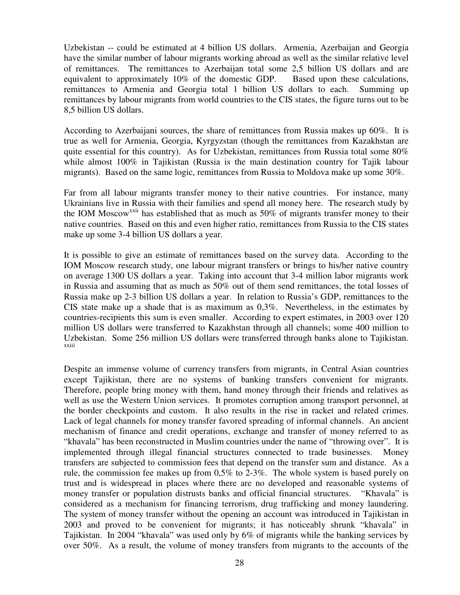Uzbekistan -- could be estimated at 4 billion US dollars. Armenia, Azerbaijan and Georgia have the similar number of labour migrants working abroad as well as the similar relative level of remittances. The remittances to Azerbaijan total some 2,5 billion US dollars and are equivalent to approximately 10% of the domestic GDP. Based upon these calculations, remittances to Armenia and Georgia total 1 billion US dollars to each. Summing up remittances by labour migrants from world countries to the CIS states, the figure turns out to be 8,5 billion US dollars.

According to Azerbaijani sources, the share of remittances from Russia makes up 60%. It is true as well for Armenia, Georgia, Kyrgyzstan (though the remittances from Kazakhstan are quite essential for this country). As for Uzbekistan, remittances from Russia total some 80% while almost 100% in Tajikistan (Russia is the main destination country for Tajik labour migrants). Based on the same logic, remittances from Russia to Moldova make up some 30%.

Far from all labour migrants transfer money to their native countries. For instance, many Ukrainians live in Russia with their families and spend all money here. The research study by the IOM Moscow<sup>xxii</sup> has established that as much as 50% of migrants transfer money to their native countries. Based on this and even higher ratio, remittances from Russia to the CIS states make up some 3-4 billion US dollars a year.

It is possible to give an estimate of remittances based on the survey data. According to the IOM Moscow research study, one labour migrant transfers or brings to his/her native country on average 1300 US dollars a year. Taking into account that 3-4 million labor migrants work in Russia and assuming that as much as 50% out of them send remittances, the total losses of Russia make up 2-3 billion US dollars a year. In relation to Russia's GDP, remittances to the CIS state make up a shade that is as maximum as 0,3%. Nevertheless, in the estimates by countries-recipients this sum is even smaller. According to expert estimates, in 2003 over 120 million US dollars were transferred to Kazakhstan through all channels; some 400 million to Uzbekistan. Some 256 million US dollars were transferred through banks alone to Tajikistan. xxiii

Despite an immense volume of currency transfers from migrants, in Central Asian countries except Tajikistan, there are no systems of banking transfers convenient for migrants. Therefore, people bring money with them, hand money through their friends and relatives as well as use the Western Union services. It promotes corruption among transport personnel, at the border checkpoints and custom. It also results in the rise in racket and related crimes. Lack of legal channels for money transfer favored spreading of informal channels. An ancient mechanism of finance and credit operations, exchange and transfer of money referred to as "khavala" has been reconstructed in Muslim countries under the name of "throwing over". It is implemented through illegal financial structures connected to trade businesses. Money transfers are subjected to commission fees that depend on the transfer sum and distance. As a rule, the commission fee makes up from 0,5% to 2-3%. The whole system is based purely on trust and is widespread in places where there are no developed and reasonable systems of money transfer or population distrusts banks and official financial structures. "Khavala" is considered as a mechanism for financing terrorism, drug trafficking and money laundering. The system of money transfer without the opening an account was introduced in Tajikistan in 2003 and proved to be convenient for migrants; it has noticeably shrunk "khavala" in Tajikistan. In 2004 "khavala" was used only by 6% of migrants while the banking services by over 50%. As a result, the volume of money transfers from migrants to the accounts of the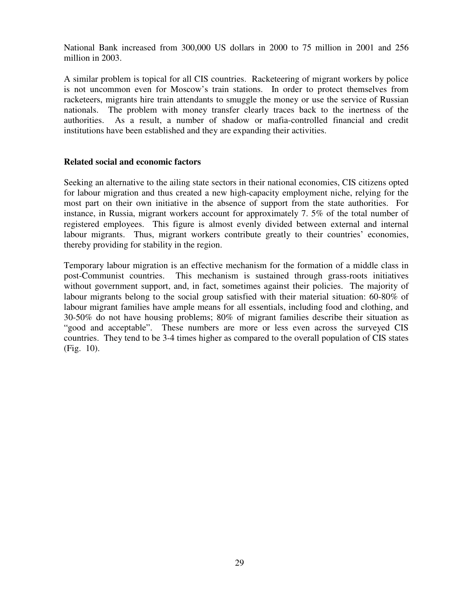National Bank increased from 300,000 US dollars in 2000 to 75 million in 2001 and 256 million in 2003.

A similar problem is topical for all CIS countries. Racketeering of migrant workers by police is not uncommon even for Moscow's train stations. In order to protect themselves from racketeers, migrants hire train attendants to smuggle the money or use the service of Russian nationals. The problem with money transfer clearly traces back to the inertness of the authorities. As a result, a number of shadow or mafia-controlled financial and credit institutions have been established and they are expanding their activities.

#### **Related social and economic factors**

Seeking an alternative to the ailing state sectors in their national economies, CIS citizens opted for labour migration and thus created a new high-capacity employment niche, relying for the most part on their own initiative in the absence of support from the state authorities. For instance, in Russia, migrant workers account for approximately 7. 5% of the total number of registered employees. This figure is almost evenly divided between external and internal labour migrants. Thus, migrant workers contribute greatly to their countries' economies, thereby providing for stability in the region.

Temporary labour migration is an effective mechanism for the formation of a middle class in post-Communist countries. This mechanism is sustained through grass-roots initiatives without government support, and, in fact, sometimes against their policies. The majority of labour migrants belong to the social group satisfied with their material situation: 60-80% of labour migrant families have ample means for all essentials, including food and clothing, and 30-50% do not have housing problems; 80% of migrant families describe their situation as "good and acceptable". These numbers are more or less even across the surveyed CIS countries. They tend to be 3-4 times higher as compared to the overall population of CIS states (Fig. 10).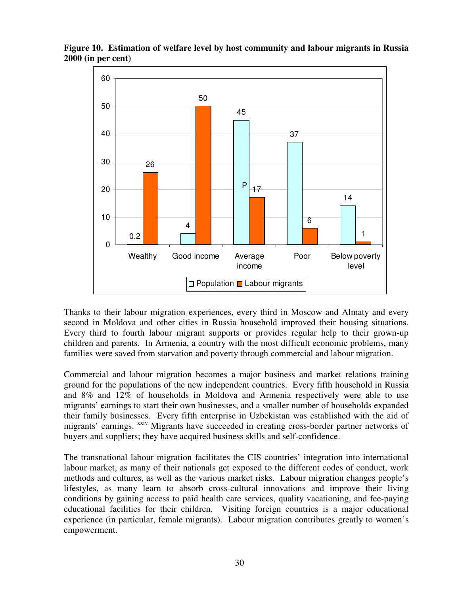

**Figure 10. Estimation of welfare level by host community and labour migrants in Russia 2000 (in per cent)**

Thanks to their labour migration experiences, every third in Moscow and Almaty and every second in Moldova and other cities in Russia household improved their housing situations. Every third to fourth labour migrant supports or provides regular help to their grown-up children and parents. In Armenia, a country with the most difficult economic problems, many families were saved from starvation and poverty through commercial and labour migration.

Commercial and labour migration becomes a major business and market relations training ground for the populations of the new independent countries. Every fifth household in Russia and 8% and 12% of households in Moldova and Armenia respectively were able to use migrants' earnings to start their own businesses, and a smaller number of households expanded their family businesses. Every fifth enterprise in Uzbekistan was established with the aid of migrants' earnings. <sup>xxiv</sup> Migrants have succeeded in creating cross-border partner networks of buyers and suppliers; they have acquired business skills and self-confidence.

The transnational labour migration facilitates the CIS countries' integration into international labour market, as many of their nationals get exposed to the different codes of conduct, work methods and cultures, as well as the various market risks. Labour migration changes people's lifestyles, as many learn to absorb cross-cultural innovations and improve their living conditions by gaining access to paid health care services, quality vacationing, and fee-paying educational facilities for their children. Visiting foreign countries is a major educational experience (in particular, female migrants). Labour migration contributes greatly to women's empowerment.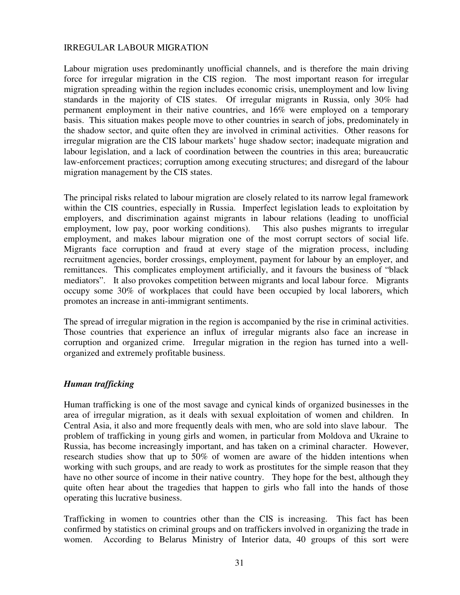#### IRREGULAR LABOUR MIGRATION

Labour migration uses predominantly unofficial channels, and is therefore the main driving force for irregular migration in the CIS region. The most important reason for irregular migration spreading within the region includes economic crisis, unemployment and low living standards in the majority of CIS states. Of irregular migrants in Russia, only 30% had permanent employment in their native countries, and 16% were employed on a temporary basis. This situation makes people move to other countries in search of jobs, predominately in the shadow sector, and quite often they are involved in criminal activities. Other reasons for irregular migration are the CIS labour markets' huge shadow sector; inadequate migration and labour legislation, and a lack of coordination between the countries in this area; bureaucratic law-enforcement practices; corruption among executing structures; and disregard of the labour migration management by the CIS states.

The principal risks related to labour migration are closely related to its narrow legal framework within the CIS countries, especially in Russia. Imperfect legislation leads to exploitation by employers, and discrimination against migrants in labour relations (leading to unofficial employment, low pay, poor working conditions). This also pushes migrants to irregular employment, and makes labour migration one of the most corrupt sectors of social life. Migrants face corruption and fraud at every stage of the migration process, including recruitment agencies, border crossings, employment, payment for labour by an employer, and remittances. This complicates employment artificially, and it favours the business of "black mediators". It also provokes competition between migrants and local labour force. Migrants occupy some 30% of workplaces that could have been occupied by local laborers, which promotes an increase in anti-immigrant sentiments.

The spread of irregular migration in the region is accompanied by the rise in criminal activities. Those countries that experience an influx of irregular migrants also face an increase in corruption and organized crime. Irregular migration in the region has turned into a wellorganized and extremely profitable business.

#### *Human trafficking*

Human trafficking is one of the most savage and cynical kinds of organized businesses in the area of irregular migration, as it deals with sexual exploitation of women and children. In Central Asia, it also and more frequently deals with men, who are sold into slave labour. The problem of trafficking in young girls and women, in particular from Moldova and Ukraine to Russia, has become increasingly important, and has taken on a criminal character. However, research studies show that up to 50% of women are aware of the hidden intentions when working with such groups, and are ready to work as prostitutes for the simple reason that they have no other source of income in their native country. They hope for the best, although they quite often hear about the tragedies that happen to girls who fall into the hands of those operating this lucrative business.

Trafficking in women to countries other than the CIS is increasing. This fact has been confirmed by statistics on criminal groups and on traffickers involved in organizing the trade in women. According to Belarus Ministry of Interior data, 40 groups of this sort were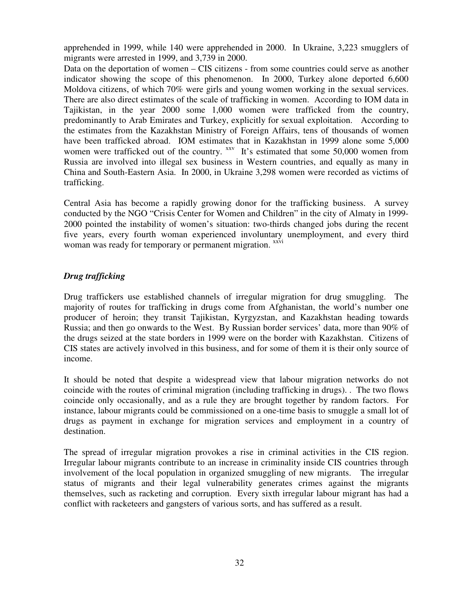apprehended in 1999, while 140 were apprehended in 2000. In Ukraine, 3,223 smugglers of migrants were arrested in 1999, and 3,739 in 2000.

Data on the deportation of women – CIS citizens - from some countries could serve as another indicator showing the scope of this phenomenon. In 2000, Turkey alone deported 6,600 Moldova citizens, of which 70% were girls and young women working in the sexual services. There are also direct estimates of the scale of trafficking in women. According to IOM data in Tajikistan, in the year 2000 some 1,000 women were trafficked from the country, predominantly to Arab Emirates and Turkey, explicitly for sexual exploitation. According to the estimates from the Kazakhstan Ministry of Foreign Affairs, tens of thousands of women have been trafficked abroad. IOM estimates that in Kazakhstan in 1999 alone some 5,000 women were trafficked out of the country. <sup>xxv</sup> It's estimated that some 50,000 women from Russia are involved into illegal sex business in Western countries, and equally as many in China and South-Eastern Asia. In 2000, in Ukraine 3,298 women were recorded as victims of trafficking.

Central Asia has become a rapidly growing donor for the trafficking business. A survey conducted by the NGO "Crisis Center for Women and Children" in the city of Almaty in 1999- 2000 pointed the instability of women's situation: two-thirds changed jobs during the recent five years, every fourth woman experienced involuntary unemployment, and every third woman was ready for temporary or permanent migration. xxvi

## *Drug trafficking*

Drug traffickers use established channels of irregular migration for drug smuggling. The majority of routes for trafficking in drugs come from Afghanistan, the world's number one producer of heroin; they transit Tajikistan, Kyrgyzstan, and Kazakhstan heading towards Russia; and then go onwards to the West. By Russian border services' data, more than 90% of the drugs seized at the state borders in 1999 were on the border with Kazakhstan. Citizens of CIS states are actively involved in this business, and for some of them it is their only source of income.

It should be noted that despite a widespread view that labour migration networks do not coincide with the routes of criminal migration (including trafficking in drugs). . The two flows coincide only occasionally, and as a rule they are brought together by random factors. For instance, labour migrants could be commissioned on a one-time basis to smuggle a small lot of drugs as payment in exchange for migration services and employment in a country of destination.

The spread of irregular migration provokes a rise in criminal activities in the CIS region. Irregular labour migrants contribute to an increase in criminality inside CIS countries through involvement of the local population in organized smuggling of new migrants. The irregular status of migrants and their legal vulnerability generates crimes against the migrants themselves, such as racketing and corruption. Every sixth irregular labour migrant has had a conflict with racketeers and gangsters of various sorts, and has suffered as a result.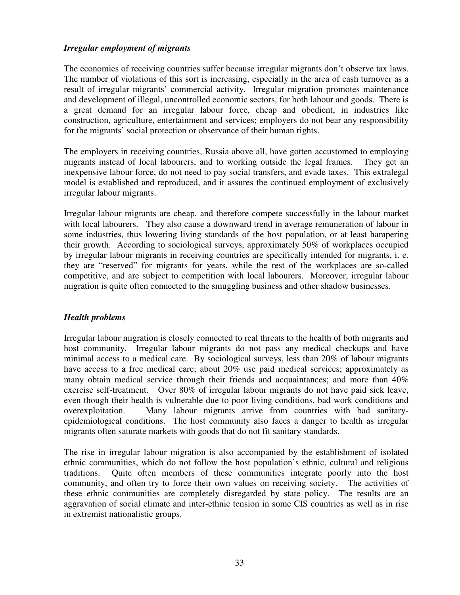## *Irregular employment of migrants*

The economies of receiving countries suffer because irregular migrants don't observe tax laws. The number of violations of this sort is increasing, especially in the area of cash turnover as a result of irregular migrants' commercial activity. Irregular migration promotes maintenance and development of illegal, uncontrolled economic sectors, for both labour and goods. There is a great demand for an irregular labour force, cheap and obedient, in industries like construction, agriculture, entertainment and services; employers do not bear any responsibility for the migrants' social protection or observance of their human rights.

The employers in receiving countries, Russia above all, have gotten accustomed to employing migrants instead of local labourers, and to working outside the legal frames. They get an inexpensive labour force, do not need to pay social transfers, and evade taxes. This extralegal model is established and reproduced, and it assures the continued employment of exclusively irregular labour migrants.

Irregular labour migrants are cheap, and therefore compete successfully in the labour market with local labourers. They also cause a downward trend in average remuneration of labour in some industries, thus lowering living standards of the host population, or at least hampering their growth. According to sociological surveys, approximately 50% of workplaces occupied by irregular labour migrants in receiving countries are specifically intended for migrants, i. e. they are "reserved" for migrants for years, while the rest of the workplaces are so-called competitive, and are subject to competition with local labourers. Moreover, irregular labour migration is quite often connected to the smuggling business and other shadow businesses.

## *Health problems*

Irregular labour migration is closely connected to real threats to the health of both migrants and host community. Irregular labour migrants do not pass any medical checkups and have minimal access to a medical care. By sociological surveys, less than 20% of labour migrants have access to a free medical care; about 20% use paid medical services; approximately as many obtain medical service through their friends and acquaintances; and more than 40% exercise self-treatment. Over 80% of irregular labour migrants do not have paid sick leave, even though their health is vulnerable due to poor living conditions, bad work conditions and overexploitation. Many labour migrants arrive from countries with bad sanitaryepidemiological conditions. The host community also faces a danger to health as irregular migrants often saturate markets with goods that do not fit sanitary standards.

The rise in irregular labour migration is also accompanied by the establishment of isolated ethnic communities, which do not follow the host population's ethnic, cultural and religious traditions. Quite often members of these communities integrate poorly into the host community, and often try to force their own values on receiving society. The activities of these ethnic communities are completely disregarded by state policy. The results are an aggravation of social climate and inter-ethnic tension in some CIS countries as well as in rise in extremist nationalistic groups.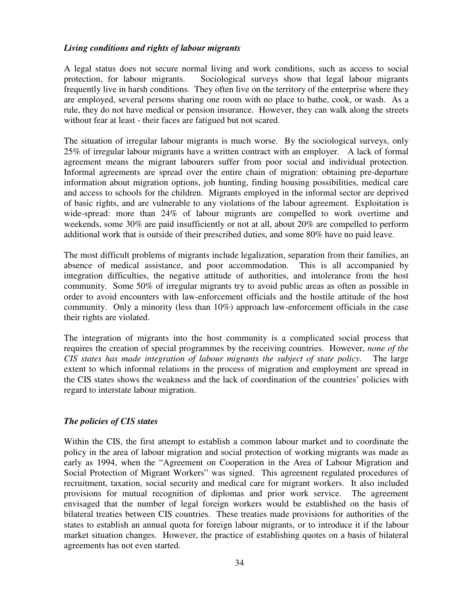#### *Living conditions and rights of labour migrants*

A legal status does not secure normal living and work conditions, such as access to social protection, for labour migrants. Sociological surveys show that legal labour migrants frequently live in harsh conditions. They often live on the territory of the enterprise where they are employed, several persons sharing one room with no place to bathe, cook, or wash. As a rule, they do not have medical or pension insurance. However, they can walk along the streets without fear at least - their faces are fatigued but not scared.

The situation of irregular labour migrants is much worse. By the sociological surveys, only 25% of irregular labour migrants have a written contract with an employer. A lack of formal agreement means the migrant labourers suffer from poor social and individual protection. Informal agreements are spread over the entire chain of migration: obtaining pre-departure information about migration options, job hunting, finding housing possibilities, medical care and access to schools for the children. Migrants employed in the informal sector are deprived of basic rights, and are vulnerable to any violations of the labour agreement. Exploitation is wide-spread: more than 24% of labour migrants are compelled to work overtime and weekends, some 30% are paid insufficiently or not at all, about 20% are compelled to perform additional work that is outside of their prescribed duties, and some 80% have no paid leave.

The most difficult problems of migrants include legalization, separation from their families, an absence of medical assistance, and poor accommodation. This is all accompanied by integration difficulties, the negative attitude of authorities, and intolerance from the host community. Some 50% of irregular migrants try to avoid public areas as often as possible in order to avoid encounters with law-enforcement officials and the hostile attitude of the host community. Only a minority (less than 10%) approach law-enforcement officials in the case their rights are violated.

The integration of migrants into the host community is a complicated social process that requires the creation of special programmes by the receiving countries. However, *none of the CIS states has made integration of labour migrants the subject of state policy.* The large extent to which informal relations in the process of migration and employment are spread in the CIS states shows the weakness and the lack of coordination of the countries' policies with regard to interstate labour migration.

#### *The policies of CIS states*

Within the CIS, the first attempt to establish a common labour market and to coordinate the policy in the area of labour migration and social protection of working migrants was made as early as 1994, when the "Agreement on Cooperation in the Area of Labour Migration and Social Protection of Migrant Workers" was signed. This agreement regulated procedures of recruitment, taxation, social security and medical care for migrant workers. It also included provisions for mutual recognition of diplomas and prior work service. The agreement envisaged that the number of legal foreign workers would be established on the basis of bilateral treaties between CIS countries. These treaties made provisions for authorities of the states to establish an annual quota for foreign labour migrants, or to introduce it if the labour market situation changes. However, the practice of establishing quotes on a basis of bilateral agreements has not even started.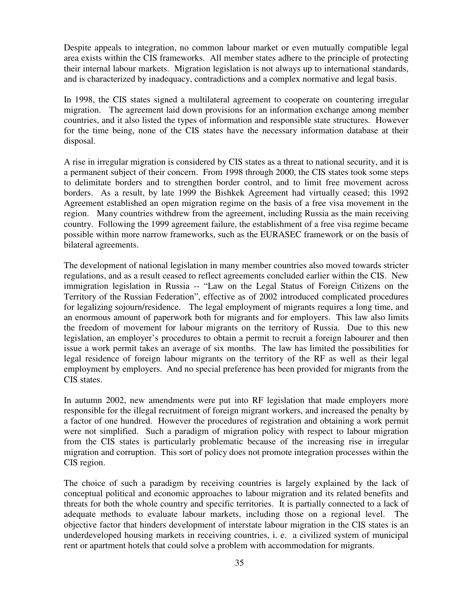Despite appeals to integration, no common labour market or even mutually compatible legal area exists within the CIS frameworks. All member states adhere to the principle of protecting their internal labour markets. Migration legislation is not always up to international standards, and is characterized by inadequacy, contradictions and a complex normative and legal basis.

In 1998, the CIS states signed a multilateral agreement to cooperate on countering irregular migration. The agreement laid down provisions for an information exchange among member countries, and it also listed the types of information and responsible state structures. However for the time being, none of the CIS states have the necessary information database at their disposal.

A rise in irregular migration is considered by CIS states as a threat to national security, and it is a permanent subject of their concern. From 1998 through 2000, the CIS states took some steps to delimitate borders and to strengthen border control, and to limit free movement across borders. As a result, by late 1999 the Bishkek Agreement had virtually ceased; this 1992 Agreement established an open migration regime on the basis of a free visa movement in the region. Many countries withdrew from the agreement, including Russia as the main receiving country. Following the 1999 agreement failure, the establishment of a free visa regime became possible within more narrow frameworks, such as the EURASEC framework or on the basis of bilateral agreements.

The development of national legislation in many member countries also moved towards stricter regulations, and as a result ceased to reflect agreements concluded earlier within the CIS. New immigration legislation in Russia -- "Law on the Legal Status of Foreign Citizens on the Territory of the Russian Federation", effective as of 2002 introduced complicated procedures for legalizing sojourn/residence. The legal employment of migrants requires a long time, and an enormous amount of paperwork both for migrants and for employers. This law also limits the freedom of movement for labour migrants on the territory of Russia. Due to this new legislation, an employer's procedures to obtain a permit to recruit a foreign labourer and then issue a work permit takes an average of six months. The law has limited the possibilities for legal residence of foreign labour migrants on the territory of the RF as well as their legal employment by employers. And no special preference has been provided for migrants from the CIS states.

In autumn 2002, new amendments were put into RF legislation that made employers more responsible for the illegal recruitment of foreign migrant workers, and increased the penalty by a factor of one hundred. However the procedures of registration and obtaining a work permit were not simplified. Such a paradigm of migration policy with respect to labour migration from the CIS states is particularly problematic because of the increasing rise in irregular migration and corruption. This sort of policy does not promote integration processes within the CIS region.

The choice of such a paradigm by receiving countries is largely explained by the lack of conceptual political and economic approaches to labour migration and its related benefits and threats for both the whole country and specific territories. It is partially connected to a lack of adequate methods to evaluate labour markets, including those on a regional level. The objective factor that hinders development of interstate labour migration in the CIS states is an underdeveloped housing markets in receiving countries, i. e. a civilized system of municipal rent or apartment hotels that could solve a problem with accommodation for migrants.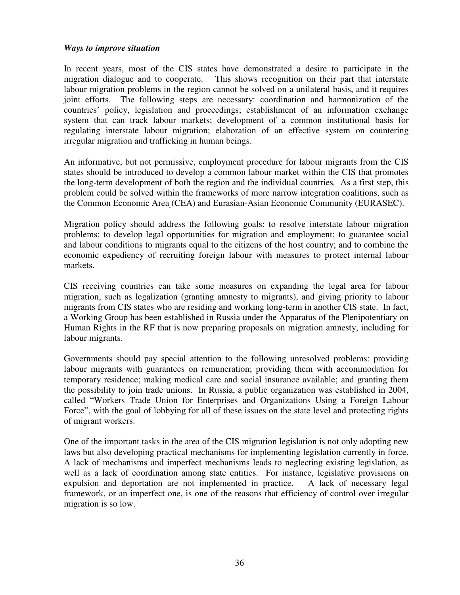#### *Ways to improve situation*

In recent years, most of the CIS states have demonstrated a desire to participate in the migration dialogue and to cooperate. This shows recognition on their part that interstate labour migration problems in the region cannot be solved on a unilateral basis, and it requires joint efforts. The following steps are necessary: coordination and harmonization of the countries' policy, legislation and proceedings; establishment of an information exchange system that can track labour markets; development of a common institutional basis for regulating interstate labour migration; elaboration of an effective system on countering irregular migration and trafficking in human beings.

An informative, but not permissive, employment procedure for labour migrants from the CIS states should be introduced to develop a common labour market within the CIS that promotes the long-term development of both the region and the individual countries*.* As a first step, this problem could be solved within the frameworks of more narrow integration coalitions, such as the Common Economic Area (CEA) and Eurasian-Asian Economic Community (EURASEC).

Migration policy should address the following goals: to resolve interstate labour migration problems; to develop legal opportunities for migration and employment; to guarantee social and labour conditions to migrants equal to the citizens of the host country; and to combine the economic expediency of recruiting foreign labour with measures to protect internal labour markets.

CIS receiving countries can take some measures on expanding the legal area for labour migration, such as legalization (granting amnesty to migrants), and giving priority to labour migrants from CIS states who are residing and working long-term in another CIS state. In fact, a Working Group has been established in Russia under the Apparatus of the Plenipotentiary on Human Rights in the RF that is now preparing proposals on migration amnesty, including for labour migrants.

Governments should pay special attention to the following unresolved problems: providing labour migrants with guarantees on remuneration; providing them with accommodation for temporary residence; making medical care and social insurance available; and granting them the possibility to join trade unions. In Russia, a public organization was established in 2004, called "Workers Trade Union for Enterprises and Organizations Using a Foreign Labour Force", with the goal of lobbying for all of these issues on the state level and protecting rights of migrant workers.

One of the important tasks in the area of the CIS migration legislation is not only adopting new laws but also developing practical mechanisms for implementing legislation currently in force. A lack of mechanisms and imperfect mechanisms leads to neglecting existing legislation, as well as a lack of coordination among state entities. For instance, legislative provisions on expulsion and deportation are not implemented in practice. A lack of necessary legal framework, or an imperfect one, is one of the reasons that efficiency of control over irregular migration is so low.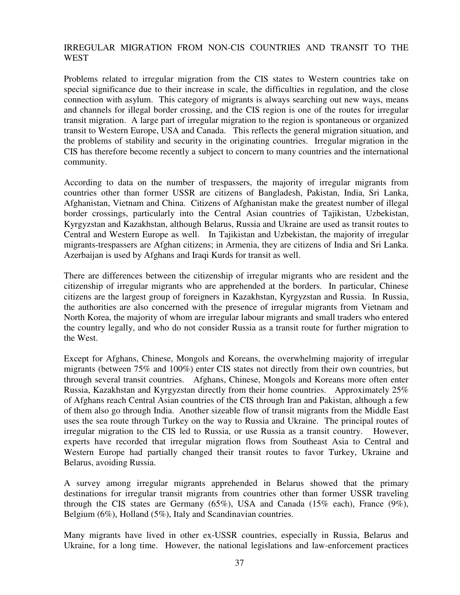## IRREGULAR MIGRATION FROM NON-CIS COUNTRIES AND TRANSIT TO THE **WEST**

Problems related to irregular migration from the CIS states to Western countries take on special significance due to their increase in scale, the difficulties in regulation, and the close connection with asylum. This category of migrants is always searching out new ways, means and channels for illegal border crossing, and the CIS region is one of the routes for irregular transit migration. A large part of irregular migration to the region is spontaneous or organized transit to Western Europe, USA and Canada. This reflects the general migration situation, and the problems of stability and security in the originating countries. Irregular migration in the CIS has therefore become recently a subject to concern to many countries and the international community.

According to data on the number of trespassers, the majority of irregular migrants from countries other than former USSR are citizens of Bangladesh, Pakistan, India, Sri Lanka, Afghanistan, Vietnam and China. Citizens of Afghanistan make the greatest number of illegal border crossings, particularly into the Central Asian countries of Tajikistan, Uzbekistan, Kyrgyzstan and Kazakhstan, although Belarus, Russia and Ukraine are used as transit routes to Central and Western Europe as well. In Tajikistan and Uzbekistan, the majority of irregular migrants-trespassers are Afghan citizens; in Armenia, they are citizens of India and Sri Lanka. Azerbaijan is used by Afghans and Iraqi Kurds for transit as well.

There are differences between the citizenship of irregular migrants who are resident and the citizenship of irregular migrants who are apprehended at the borders. In particular, Chinese citizens are the largest group of foreigners in Kazakhstan, Kyrgyzstan and Russia. In Russia, the authorities are also concerned with the presence of irregular migrants from Vietnam and North Korea, the majority of whom are irregular labour migrants and small traders who entered the country legally, and who do not consider Russia as a transit route for further migration to the West.

Except for Afghans, Chinese, Mongols and Koreans, the overwhelming majority of irregular migrants (between 75% and 100%) enter CIS states not directly from their own countries, but through several transit countries. Afghans, Chinese, Mongols and Koreans more often enter Russia, Kazakhstan and Kyrgyzstan directly from their home countries. Approximately 25% of Afghans reach Central Asian countries of the CIS through Iran and Pakistan, although a few of them also go through India. Another sizeable flow of transit migrants from the Middle East uses the sea route through Turkey on the way to Russia and Ukraine. The principal routes of irregular migration to the CIS led to Russia, or use Russia as a transit country. However, experts have recorded that irregular migration flows from Southeast Asia to Central and Western Europe had partially changed their transit routes to favor Turkey, Ukraine and Belarus, avoiding Russia.

A survey among irregular migrants apprehended in Belarus showed that the primary destinations for irregular transit migrants from countries other than former USSR traveling through the CIS states are Germany (65%), USA and Canada (15% each), France (9%), Belgium (6%), Holland (5%), Italy and Scandinavian countries.

Many migrants have lived in other ex-USSR countries, especially in Russia, Belarus and Ukraine, for a long time. However, the national legislations and law-enforcement practices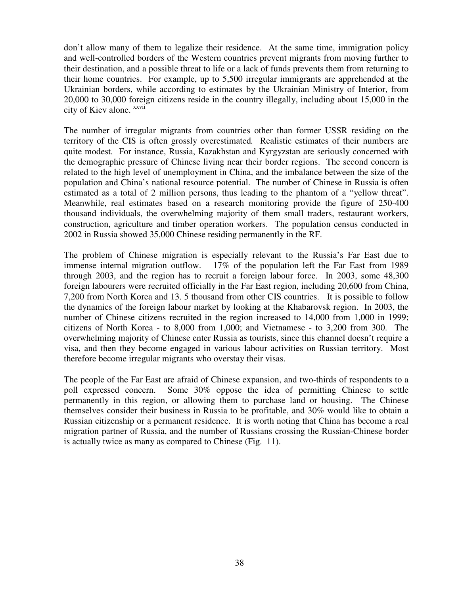don't allow many of them to legalize their residence. At the same time, immigration policy and well-controlled borders of the Western countries prevent migrants from moving further to their destination, and a possible threat to life or a lack of funds prevents them from returning to their home countries. For example, up to 5,500 irregular immigrants are apprehended at the Ukrainian borders, while according to estimates by the Ukrainian Ministry of Interior, from 20,000 to 30,000 foreign citizens reside in the country illegally, including about 15,000 in the city of Kiev alone. <sup>xxvii</sup>

The number of irregular migrants from countries other than former USSR residing on the territory of the CIS is often grossly overestimated*.* Realistic estimates of their numbers are quite modest*.* For instance, Russia, Kazakhstan and Kyrgyzstan are seriously concerned with the demographic pressure of Chinese living near their border regions. The second concern is related to the high level of unemployment in China, and the imbalance between the size of the population and China's national resource potential. The number of Chinese in Russia is often estimated as a total of 2 million persons, thus leading to the phantom of a "yellow threat". Meanwhile, real estimates based on a research monitoring provide the figure of 250-400 thousand individuals, the overwhelming majority of them small traders, restaurant workers, construction, agriculture and timber operation workers. The population census conducted in 2002 in Russia showed 35,000 Chinese residing permanently in the RF.

The problem of Chinese migration is especially relevant to the Russia's Far East due to immense internal migration outflow. 17% of the population left the Far East from 1989 through 2003, and the region has to recruit a foreign labour force. In 2003, some 48,300 foreign labourers were recruited officially in the Far East region, including 20,600 from China, 7,200 from North Korea and 13. 5 thousand from other CIS countries. It is possible to follow the dynamics of the foreign labour market by looking at the Khabarovsk region. In 2003, the number of Chinese citizens recruited in the region increased to 14,000 from 1,000 in 1999; citizens of North Korea - to 8,000 from 1,000; and Vietnamese - to 3,200 from 300. The overwhelming majority of Chinese enter Russia as tourists, since this channel doesn't require a visa, and then they become engaged in various labour activities on Russian territory. Most therefore become irregular migrants who overstay their visas.

The people of the Far East are afraid of Chinese expansion, and two-thirds of respondents to a poll expressed concern. Some 30% oppose the idea of permitting Chinese to settle permanently in this region, or allowing them to purchase land or housing. The Chinese themselves consider their business in Russia to be profitable, and 30% would like to obtain a Russian citizenship or a permanent residence. It is worth noting that China has become a real migration partner of Russia, and the number of Russians crossing the Russian-Chinese border is actually twice as many as compared to Chinese (Fig. 11).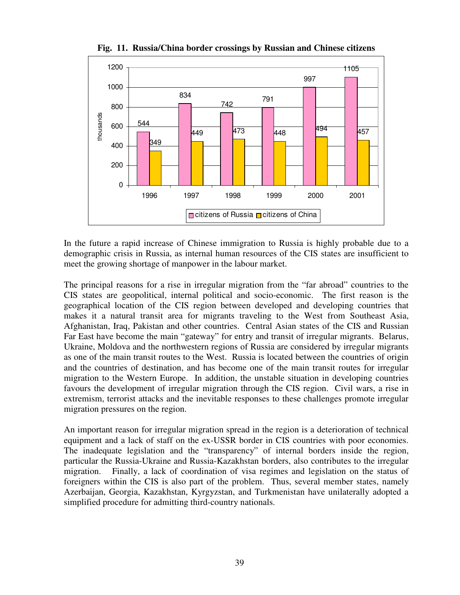

**Fig. 11. Russia/China border crossings by Russian and Chinese citizens**

In the future a rapid increase of Chinese immigration to Russia is highly probable due to a demographic crisis in Russia, as internal human resources of the CIS states are insufficient to meet the growing shortage of manpower in the labour market.

The principal reasons for a rise in irregular migration from the "far abroad" countries to the CIS states are geopolitical, internal political and socio-economic. The first reason is the geographical location of the CIS region between developed and developing countries that makes it a natural transit area for migrants traveling to the West from Southeast Asia, Afghanistan, Iraq, Pakistan and other countries. Central Asian states of the CIS and Russian Far East have become the main "gateway" for entry and transit of irregular migrants. Belarus, Ukraine, Moldova and the northwestern regions of Russia are considered by irregular migrants as one of the main transit routes to the West. Russia is located between the countries of origin and the countries of destination, and has become one of the main transit routes for irregular migration to the Western Europe. In addition, the unstable situation in developing countries favours the development of irregular migration through the CIS region. Civil wars, a rise in extremism, terrorist attacks and the inevitable responses to these challenges promote irregular migration pressures on the region.

An important reason for irregular migration spread in the region is a deterioration of technical equipment and a lack of staff on the ex-USSR border in CIS countries with poor economies. The inadequate legislation and the "transparency" of internal borders inside the region, particular the Russia-Ukraine and Russia-Kazakhstan borders, also contributes to the irregular migration. Finally, a lack of coordination of visa regimes and legislation on the status of foreigners within the CIS is also part of the problem. Thus, several member states, namely Azerbaijan, Georgia, Kazakhstan, Kyrgyzstan, and Turkmenistan have unilaterally adopted a simplified procedure for admitting third-country nationals.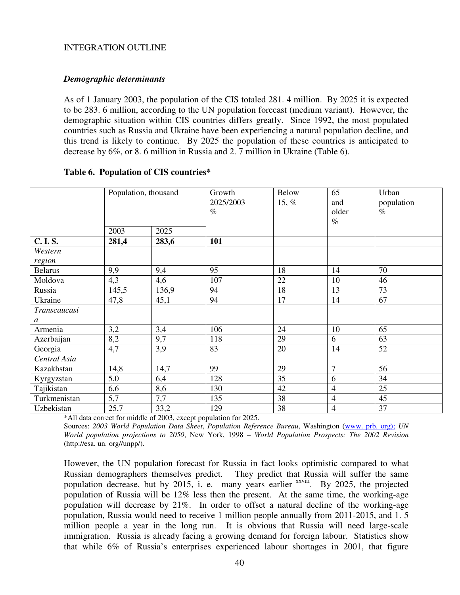#### INTEGRATION OUTLINE

#### *Demographic determinants*

As of 1 January 2003, the population of the CIS totaled 281. 4 million. By 2025 it is expected to be 283. 6 million, according to the UN population forecast (medium variant). However, the demographic situation within CIS countries differs greatly. Since 1992, the most populated countries such as Russia and Ukraine have been experiencing a natural population decline, and this trend is likely to continue. By 2025 the population of these countries is anticipated to decrease by 6%, or 8. 6 million in Russia and 2. 7 million in Ukraine (Table 6).

#### **Table 6. Population of CIS countries\***

|                   | Population, thousand |       | Growth<br>2025/2003<br>$\%$ | <b>Below</b><br>15, $%$ | 65<br>and<br>older<br>$\%$ | Urban<br>population<br>$\%$ |
|-------------------|----------------------|-------|-----------------------------|-------------------------|----------------------------|-----------------------------|
|                   | 2003                 | 2025  |                             |                         |                            |                             |
| <b>C.I.S.</b>     | 281,4                | 283,6 | 101                         |                         |                            |                             |
| Western<br>region |                      |       |                             |                         |                            |                             |
| <b>Belarus</b>    | 9,9                  | 9,4   | 95                          | 18                      | 14                         | 70                          |
| Moldova           | 4,3                  | 4,6   | 107                         | 22                      | 10                         | 46                          |
| Russia            | 145,5                | 136,9 | 94                          | 18                      | 13                         | 73                          |
| Ukraine           | 47,8                 | 45,1  | 94                          | 17                      | 14                         | 67                          |
| Transcaucasi      |                      |       |                             |                         |                            |                             |
| $\boldsymbol{a}$  |                      |       |                             |                         |                            |                             |
| Armenia           | 3,2                  | 3,4   | 106                         | 24                      | 10                         | 65                          |
| Azerbaijan        | 8,2                  | 9,7   | 118                         | 29                      | 6                          | 63                          |
| Georgia           | 4,7                  | 3,9   | 83                          | 20                      | 14                         | 52                          |
| Central Asia      |                      |       |                             |                         |                            |                             |
| Kazakhstan        | 14,8                 | 14,7  | 99                          | 29                      | $\overline{7}$             | 56                          |
| Kyrgyzstan        | 5,0                  | 6,4   | 128                         | 35                      | 6                          | 34                          |
| Tajikistan        | 6,6                  | 8,6   | 130                         | 42                      | $\overline{4}$             | 25                          |
| Turkmenistan      | 5,7                  | 7,7   | 135                         | 38                      | $\overline{4}$             | 45                          |
| Uzbekistan        | 25,7                 | 33,2  | 129                         | 38                      | $\overline{4}$             | $\overline{37}$             |

\*All data correct for middle of 2003, except population for 2025.

Sources: *2003 World Population Data Sheet*, *Population Reference Bureau*, Washington (www. prb. org); *UN World population projections to 2050*, New York, 1998 – *World Population Prospects: The 2002 Revision* (http://esa. un. org//unpp/).

However, the UN population forecast for Russia in fact looks optimistic compared to what Russian demographers themselves predict. They predict that Russia will suffer the same population decrease, but by 2015, i. e. many years earlier xxviii. By 2025, the projected population of Russia will be 12% less then the present. At the same time, the working-age population will decrease by 21%. In order to offset a natural decline of the working-age population, Russia would need to receive 1 million people annually from 2011-2015, and 1. 5 million people a year in the long run. It is obvious that Russia will need large-scale immigration. Russia is already facing a growing demand for foreign labour. Statistics show that while 6% of Russia's enterprises experienced labour shortages in 2001, that figure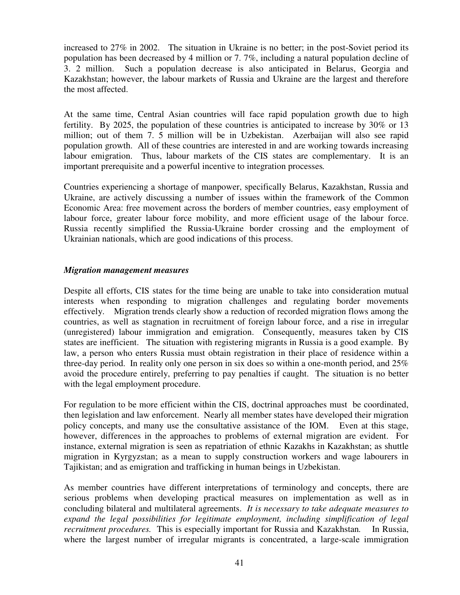increased to 27% in 2002. The situation in Ukraine is no better; in the post-Soviet period its population has been decreased by 4 million or 7. 7%, including a natural population decline of 3. 2 million. Such a population decrease is also anticipated in Belarus, Georgia and Kazakhstan; however, the labour markets of Russia and Ukraine are the largest and therefore the most affected.

At the same time, Central Asian countries will face rapid population growth due to high fertility. By 2025, the population of these countries is anticipated to increase by 30% or 13 million; out of them 7. 5 million will be in Uzbekistan. Azerbaijan will also see rapid population growth. All of these countries are interested in and are working towards increasing labour emigration. Thus, labour markets of the CIS states are complementary. It is an important prerequisite and a powerful incentive to integration processes*.*

Countries experiencing a shortage of manpower, specifically Belarus, Kazakhstan, Russia and Ukraine, are actively discussing a number of issues within the framework of the Common Economic Area: free movement across the borders of member countries, easy employment of labour force, greater labour force mobility, and more efficient usage of the labour force. Russia recently simplified the Russia-Ukraine border crossing and the employment of Ukrainian nationals, which are good indications of this process.

#### *Migration management measures*

Despite all efforts, CIS states for the time being are unable to take into consideration mutual interests when responding to migration challenges and regulating border movements effectively. Migration trends clearly show a reduction of recorded migration flows among the countries, as well as stagnation in recruitment of foreign labour force, and a rise in irregular (unregistered) labour immigration and emigration. Consequently, measures taken by CIS states are inefficient. The situation with registering migrants in Russia is a good example. By law, a person who enters Russia must obtain registration in their place of residence within a three-day period. In reality only one person in six does so within a one-month period, and 25% avoid the procedure entirely, preferring to pay penalties if caught. The situation is no better with the legal employment procedure.

For regulation to be more efficient within the CIS, doctrinal approaches must be coordinated, then legislation and law enforcement. Nearly all member states have developed their migration policy concepts, and many use the consultative assistance of the IOM. Even at this stage, however, differences in the approaches to problems of external migration are evident. For instance, external migration is seen as repatriation of ethnic Kazakhs in Kazakhstan; as shuttle migration in Kyrgyzstan; as a mean to supply construction workers and wage labourers in Tajikistan; and as emigration and trafficking in human beings in Uzbekistan.

As member countries have different interpretations of terminology and concepts, there are serious problems when developing practical measures on implementation as well as in concluding bilateral and multilateral agreements. *It is necessary to take adequate measures to expand the legal possibilities for legitimate employment, including simplification of legal recruitment procedures.* This is especially important for Russia and Kazakhstan*.* In Russia, where the largest number of irregular migrants is concentrated, a large-scale immigration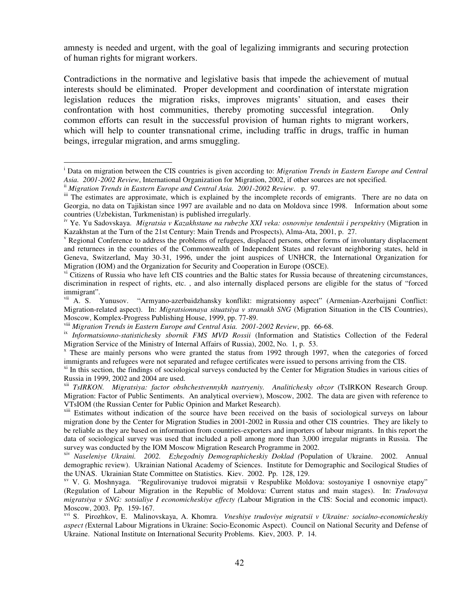amnesty is needed and urgent, with the goal of legalizing immigrants and securing protection of human rights for migrant workers.

Contradictions in the normative and legislative basis that impede the achievement of mutual interests should be eliminated. Proper development and coordination of interstate migration legislation reduces the migration risks, improves migrants' situation, and eases their confrontation with host communities, thereby promoting successful integration. Only common efforts can result in the successful provision of human rights to migrant workers, which will help to counter transnational crime, including traffic in drugs, traffic in human beings, irregular migration, and arms smuggling.

<sup>i</sup> Data on migration between the CIS countries is given according to: *Migration Trends in Eastern Europe and Central Asia. 2001-2002 Review*, International Organization for Migration, 2002, if other sources are not specified.

ii *Migration Trends in Eastern Europe and Central Asia. 2001-2002 Review*. p. 97.

iii The estimates are approximate, which is explained by the incomplete records of emigrants. There are no data on Georgia, no data on Tajikistan since 1997 are available and no data on Moldova since 1998. Information about some countries (Uzbekistan, Turkmenistan) is published irregularly.

iv Ye. Yu Sadovskaya. *Migratsia v Kazakhstane na rubezhe XXI veka: osnovniye tendentsii i perspektivy* (Migration in Kazakhstan at the Turn of the 21st Century: Main Trends and Prospects), Alma-Ata, 2001, p. 27.

 $\gamma$  Regional Conference to address the problems of refugees, displaced persons, other forms of involuntary displacement and returnees in the countries of the Commonwealth of Independent States and relevant neighboring states, held in Geneva, Switzerland, May 30-31, 1996, under the joint auspices of UNHCR, the International Organization for Migration (IOM) and the Organization for Security and Cooperation in Europe (OSCE).

v<sup>i</sup> Citizens of Russia who have left CIS countries and the Baltic states for Russia because of threatening circumstances, discrimination in respect of rights, etc. , and also internally displaced persons are eligible for the status of "forced immigrant".

vii A. S. Yunusov. "Armyano-azerbaidzhansky konflikt: migratsionny aspect" (Armenian-Azerbaijani Conflict: Migration-related aspect). In: *Migratsionnaya situatsiya v stranakh SNG* (Migration Situation in the CIS Countries), Moscow, Komplex-Progress Publishing House, 1999, pp. 77-89.

viii *Migration Trends in Eastern Europe and Central Asia. 2001-2002 Review*, pp. 66-68.

ix *Informatsionno-statistichesky sbornik FMS MVD Rossii* (Information and Statistics Collection of the Federal Migration Service of the Ministry of Internal Affairs of Russia), 2002, No. 1, p. 53.

<sup>x</sup> These are mainly persons who were granted the status from 1992 through 1997, when the categories of forced immigrants and refugees were not separated and refugee certificates were issued to persons arriving from the CIS.

<sup>&</sup>lt;sup>xi</sup> In this section, the findings of sociological surveys conducted by the Center for Migration Studies in various cities of Russia in 1999, 2002 and 2004 are used.

xii *TsIRKON. Migratsiya: factor obshchestvennykh nastryeniy. Analitichesky obzor* (TsIRKON Research Group. Migration: Factor of Public Sentiments. An analytical overview), Moscow, 2002. The data are given with reference to VTsIOM (the Russian Center for Public Opinion and Market Research).

<sup>&</sup>lt;sup>xiii</sup> Estimates without indication of the source have been received on the basis of sociological surveys on labour migration done by the Center for Migration Studies in 2001-2002 in Russia and other CIS countries. They are likely to be reliable as they are based on information from countries-exporters and importers of labour migrants. In this report the data of sociological survey was used that included a poll among more than 3,000 irregular migrants in Russia. The survey was conducted by the IOM Moscow Migration Research Programme in 2002.

xiv *Naseleniye Ukraini. 2002. Ezhegodniy Demographicheskiy Doklad (*Population of Ukraine. 2002. Annual demographic review). Ukrainian National Academy of Sciences. Institute for Demographic and Socilogical Studies of the UNAS. Ukrainian State Committee on Statistics. Kiev. 2002. Pp. 128, 129.

xv V. G. Moshnyaga. "Regulirovaniye trudovoi migratsii v Respublike Moldova: sostoyaniye I osnovniye etapy" (Regulation of Labour Migration in the Republic of Moldova: Current status and main stages). In: *Trudovaya migratsiya v SNG: sotsialiye I economicheskiye effecty (*Labour Migration in the CIS: Social and economic impact). Moscow, 2003. Pp. 159-167.

xvi S. Pirozhkov, E. Malinovskaya, A. Khomra. *Vneshiye trudoviye migratsii v Ukraine: socialno-economicheskiy aspect (*External Labour Migrations in Ukraine: Socio-Economic Aspect). Council on National Security and Defense of Ukraine. National Institute on International Security Problems. Kiev, 2003. P. 14.